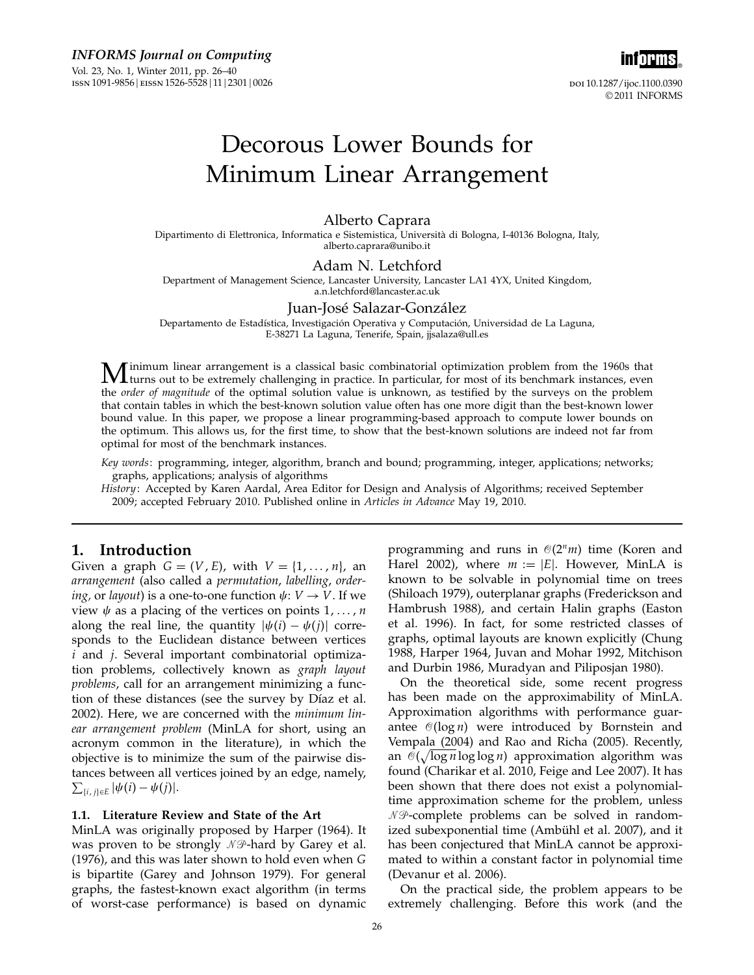inf<mark>orms</mark>。 doi 10.1287/ijoc.1100.0390 © 2011 INFORMS

# Decorous Lower Bounds for Minimum Linear Arrangement

# Alberto Caprara

Dipartimento di Elettronica, Informatica e Sistemistica, Università di Bologna, I-40136 Bologna, Italy, alberto.caprara@unibo.it

## Adam N. Letchford

Department of Management Science, Lancaster University, Lancaster LA1 4YX, United Kingdom, a.n.letchford@lancaster.ac.uk

# Juan-José Salazar-González

Departamento de Estadística, Investigación Operativa y Computación, Universidad de La Laguna, E-38271 La Laguna, Tenerife, Spain, jjsalaza@ull.es

**M** inimum linear arrangement is a classical basic combinatorial optimization problem from the 1960s that turns out to be extremely challenging in practice. In particular, for most of its benchmark instances, even the prob the *order of magnitude* of the optimal solution value is unknown, as testified by the surveys on the problem that contain tables in which the best-known solution value often has one more digit than the best-known lower bound value. In this paper, we propose a linear programming-based approach to compute lower bounds on the optimum. This allows us, for the first time, to show that the best-known solutions are indeed not far from optimal for most of the benchmark instances.

Key words: programming, integer, algorithm, branch and bound; programming, integer, applications; networks; graphs, applications; analysis of algorithms

History: Accepted by Karen Aardal, Area Editor for Design and Analysis of Algorithms; received September 2009; accepted February 2010. Published online in Articles in Advance May 19, 2010.

# 1. Introduction

Given a graph  $G = (V, E)$ , with  $V = \{1, \ldots, n\}$ , an arrangement (also called a permutation, labelling, order*ing*, or *layout*) is a one-to-one function  $\psi: V \to V$ . If we view  $\psi$  as a placing of the vertices on points  $1, \ldots, n$ along the real line, the quantity  $|\psi(i) - \psi(j)|$  corresponds to the Euclidean distance between vertices i and j. Several important combinatorial optimization problems, collectively known as graph layout problems, call for an arrangement minimizing a function of these distances (see the survey by Díaz et al. 2002). Here, we are concerned with the minimum linear arrangement problem (MinLA for short, using an acronym common in the literature), in which the objective is to minimize the sum of the pairwise distances between all vertices joined by an edge, namely,  $\sum_{\{i,j\} \in E} |\psi(i) - \psi(j)|.$ 

## 1.1. Literature Review and State of the Art

MinLA was originally proposed by Harper (1964). It was proven to be strongly  $\mathscr N\mathscr P\text{-}$ hard by Garey et al. (1976), and this was later shown to hold even when G is bipartite (Garey and Johnson 1979). For general graphs, the fastest-known exact algorithm (in terms of worst-case performance) is based on dynamic

programming and runs in  $\mathcal{O}(2^n m)$  time (Koren and Harel 2002), where  $m := |E|$ . However, MinLA is known to be solvable in polynomial time on trees (Shiloach 1979), outerplanar graphs (Frederickson and Hambrush 1988), and certain Halin graphs (Easton et al. 1996). In fact, for some restricted classes of graphs, optimal layouts are known explicitly (Chung 1988, Harper 1964, Juvan and Mohar 1992, Mitchison and Durbin 1986, Muradyan and Piliposjan 1980).

On the theoretical side, some recent progress has been made on the approximability of MinLA. Approximation algorithms with performance guarantee  $\mathcal{O}(\log n)$  were introduced by Bornstein and Vempala (2004) and Rao and Richa (2005). Recently, an  $\mathcal{O}(\sqrt{\log n}\log\log n)$  approximation algorithm was found (Charikar et al. 2010, Feige and Lee 2007). It has been shown that there does not exist a polynomialtime approximation scheme for the problem, unless  $\mathcal{NP}$ -complete problems can be solved in randomized subexponential time (Ambühl et al. 2007), and it has been conjectured that MinLA cannot be approximated to within a constant factor in polynomial time (Devanur et al. 2006).

On the practical side, the problem appears to be extremely challenging. Before this work (and the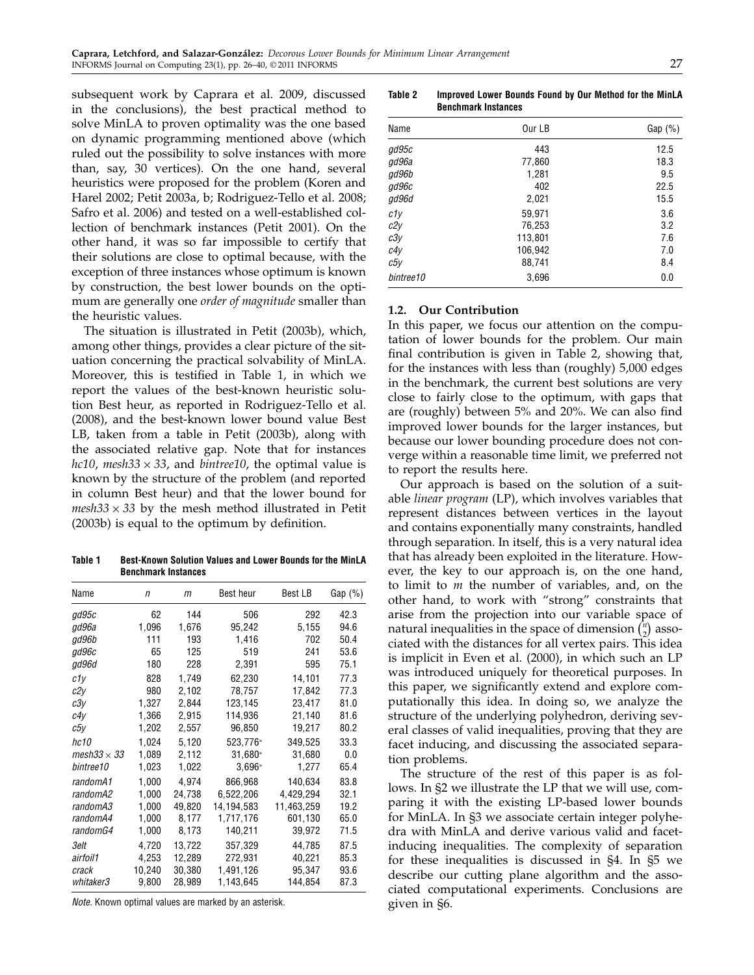subsequent work by Caprara et al. 2009, discussed in the conclusions), the best practical method to solve MinLA to proven optimality was the one based on dynamic programming mentioned above (which ruled out the possibility to solve instances with more than, say, 30 vertices). On the one hand, several heuristics were proposed for the problem (Koren and Harel 2002; Petit 2003a, b; Rodriguez-Tello et al. 2008; Safro et al. 2006) and tested on a well-established collection of benchmark instances (Petit 2001). On the other hand, it was so far impossible to certify that their solutions are close to optimal because, with the exception of three instances whose optimum is known by construction, the best lower bounds on the optimum are generally one *order of magnitude* smaller than the heuristic values.

The situation is illustrated in Petit (2003b), which, among other things, provides a clear picture of the situation concerning the practical solvability of MinLA. Moreover, this is testified in Table 1, in which we report the values of the best-known heuristic solution Best heur, as reported in Rodriguez-Tello et al. (2008), and the best-known lower bound value Best LB, taken from a table in Petit (2003b), along with the associated relative gap. Note that for instances hc10, mesh33  $\times$  33, and bintree10, the optimal value is known by the structure of the problem (and reported in column Best heur) and that the lower bound for  $mesh33 \times 33$  by the mesh method illustrated in Petit (2003b) is equal to the optimum by definition.

Table 1 Best-Known Solution Values and Lower Bounds for the MinLA Benchmark Instances

| Name               | $\sqrt{n}$ | m      | Best heur  | Best LB    | Gap $(\%)$ |
|--------------------|------------|--------|------------|------------|------------|
| ad95c              | 62         | 144    | 506        | 292        | 42.3       |
| qd96a              | 1,096      | 1,676  | 95,242     | 5,155      | 94.6       |
| ad96b              | 111        | 193    | 1,416      | 702        | 50.4       |
| ad96c              | 65         | 125    | 519        | 241        | 53.6       |
| gd96d              | 180        | 228    | 2,391      | 595        | 75.1       |
| c1y                | 828        | 1,749  | 62,230     | 14,101     | 77.3       |
| c2y                | 980        | 2,102  | 78,757     | 17.842     | 77.3       |
| c3y                | 1,327      | 2,844  | 123,145    | 23,417     | 81.0       |
| c4y                | 1,366      | 2,915  | 114,936    | 21.140     | 81.6       |
| с5у                | 1,202      | 2,557  | 96,850     | 19,217     | 80.2       |
| hc10               | 1,024      | 5,120  | 523,776*   | 349,525    | 33.3       |
| mesh33 $\times$ 33 | 1,089      | 2,112  | 31,680*    | 31,680     | 0.0        |
| bintree10          | 1,023      | 1,022  | $3,696*$   | 1,277      | 65.4       |
| randomA1           | 1,000      | 4,974  | 866,968    | 140,634    | 83.8       |
| randomA2           | 1,000      | 24,738 | 6,522,206  | 4,429,294  | 32.1       |
| randomA3           | 1,000      | 49,820 | 14,194,583 | 11,463,259 | 19.2       |
| randomA4           | 1,000      | 8,177  | 1,717,176  | 601,130    | 65.0       |
| randomG4           | 1,000      | 8,173  | 140,211    | 39,972     | 71.5       |
| 3elt               | 4.720      | 13.722 | 357,329    | 44.785     | 87.5       |
| airfoil1           | 4,253      | 12,289 | 272,931    | 40,221     | 85.3       |
| crack              | 10,240     | 30,380 | 1,491,126  | 95,347     | 93.6       |
| whitaker3          | 9,800      | 28,989 | 1,143,645  | 144,854    | 87.3       |

Note. Known optimal values are marked by an asterisk.

Table 2 Improved Lower Bounds Found by Our Method for the MinLA Benchmark Instances

| Name      | Our LB  | Gap $(\%)$ |
|-----------|---------|------------|
| gd95c     | 443     | 12.5       |
| gd96a     | 77,860  | 18.3       |
| gd96b     | 1,281   | 9.5        |
| gd96c     | 402     | 22.5       |
| gd96d     | 2,021   | 15.5       |
| c1y       | 59,971  | 3.6        |
| c2y       | 76,253  | 3.2        |
| c3y       | 113,801 | 7.6        |
| c4y       | 106,942 | 7.0        |
| c5y       | 88,741  | 8.4        |
| bintree10 | 3,696   | 0.0        |

# 1.2. Our Contribution

In this paper, we focus our attention on the computation of lower bounds for the problem. Our main final contribution is given in Table 2, showing that, for the instances with less than (roughly) 5,000 edges in the benchmark, the current best solutions are very close to fairly close to the optimum, with gaps that are (roughly) between 5% and 20%. We can also find improved lower bounds for the larger instances, but because our lower bounding procedure does not converge within a reasonable time limit, we preferred not to report the results here.

Our approach is based on the solution of a suitable linear program (LP), which involves variables that represent distances between vertices in the layout and contains exponentially many constraints, handled through separation. In itself, this is a very natural idea that has already been exploited in the literature. However, the key to our approach is, on the one hand, to limit to  $m$  the number of variables, and, on the other hand, to work with "strong" constraints that arise from the projection into our variable space of natural inequalities in the space of dimension  $\binom{n}{2}$  associated with the distances for all vertex pairs. This idea is implicit in Even et al. (2000), in which such an LP was introduced uniquely for theoretical purposes. In this paper, we significantly extend and explore computationally this idea. In doing so, we analyze the structure of the underlying polyhedron, deriving several classes of valid inequalities, proving that they are facet inducing, and discussing the associated separation problems.

The structure of the rest of this paper is as follows. In §2 we illustrate the LP that we will use, comparing it with the existing LP-based lower bounds for MinLA. In §3 we associate certain integer polyhedra with MinLA and derive various valid and facetinducing inequalities. The complexity of separation for these inequalities is discussed in §4. In §5 we describe our cutting plane algorithm and the associated computational experiments. Conclusions are given in §6.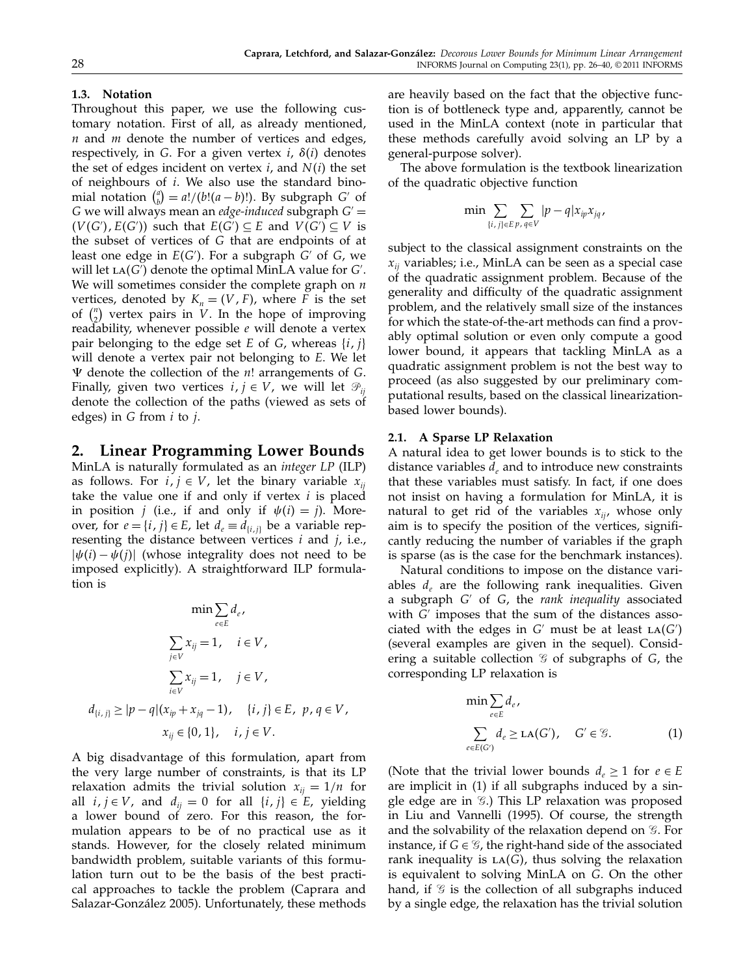# 1.3. Notation

Throughout this paper, we use the following customary notation. First of all, as already mentioned,  $n$  and  $m$  denote the number of vertices and edges, respectively, in G. For a given vertex  $i$ ,  $\delta(i)$  denotes the set of edges incident on vertex *i*, and  $N(i)$  the set of neighbours of  $i$ . We also use the standard binomial notation  $\binom{a}{b} = a!/(b!(a-b)!)$ . By subgraph G' of G we will always mean an *edge-induced* subgraph  $G'$  =  $(V(G'), E(G'))$  such that  $E(G') \subseteq E$  and  $V(G') \subseteq V$  is the subset of vertices of G that are endpoints of at least one edge in  $E(G')$ . For a subgraph  $G'$  of  $G$ , we will let  $LA(G')$  denote the optimal MinLA value for  $G'$ . We will sometimes consider the complete graph on  $n$ vertices, denoted by  $K_n = (V, F)$ , where F is the set of  $\binom{n}{2}$  vertex pairs in *V*. In the hope of improving readability, whenever possible  $e$  will denote a vertex pair belonging to the edge set E of G, whereas  $\{i, j\}$ will denote a vertex pair not belonging to E. We let  $\Psi$  denote the collection of the *n*! arrangements of *G*. Finally, given two vertices  $i, j \in V$ , we will let  $\mathcal{P}_{ii}$ denote the collection of the paths (viewed as sets of edges) in  $G$  from  $i$  to  $j$ .

# 2. Linear Programming Lower Bounds

MinLA is naturally formulated as an integer LP (ILP) as follows. For  $i, j \in V$ , let the binary variable  $x_{ij}$ take the value one if and only if vertex  $i$  is placed in position *j* (i.e., if and only if  $\psi(i) = j$ ). Moreover, for  $e = \{i, j\} \in E$ , let  $d_e \equiv d_{\{i, j\}}$  be a variable representing the distance between vertices  $i$  and  $j$ , i.e.,  $|\psi(i) - \psi(j)|$  (whose integrality does not need to be imposed explicitly). A straightforward ILP formulation is

$$
\min \sum_{e \in E} d_e,
$$
  

$$
\sum_{j \in V} x_{ij} = 1, \quad i \in V,
$$
  

$$
\sum_{i \in V} x_{ij} = 1, \quad j \in V,
$$
  

$$
d_{\{i,j\}} \ge |p - q|(x_{ip} + x_{jq} - 1), \quad \{i,j\} \in E, \ p, q \in V,
$$
  

$$
x_{ij} \in \{0, 1\}, \quad i, j \in V.
$$

A big disadvantage of this formulation, apart from the very large number of constraints, is that its LP relaxation admits the trivial solution  $x_{ii} = 1/n$  for all  $i, j \in V$ , and  $d_{ij} = 0$  for all  $\{i, j\} \in E$ , yielding a lower bound of zero. For this reason, the formulation appears to be of no practical use as it stands. However, for the closely related minimum bandwidth problem, suitable variants of this formulation turn out to be the basis of the best practical approaches to tackle the problem (Caprara and Salazar-González 2005). Unfortunately, these methods

are heavily based on the fact that the objective function is of bottleneck type and, apparently, cannot be used in the MinLA context (note in particular that these methods carefully avoid solving an LP by a general-purpose solver).

The above formulation is the textbook linearization of the quadratic objective function

$$
\min \sum_{\{i,j\} \in E} \sum_{p,q \in V} |p - q| x_{ip} x_{jq},
$$

subject to the classical assignment constraints on the  $x_{ij}$  variables; i.e., MinLA can be seen as a special case of the quadratic assignment problem. Because of the generality and difficulty of the quadratic assignment problem, and the relatively small size of the instances for which the state-of-the-art methods can find a provably optimal solution or even only compute a good lower bound, it appears that tackling MinLA as a quadratic assignment problem is not the best way to proceed (as also suggested by our preliminary computational results, based on the classical linearizationbased lower bounds).

# 2.1. A Sparse LP Relaxation

A natural idea to get lower bounds is to stick to the distance variables  $d_e$  and to introduce new constraints that these variables must satisfy. In fact, if one does not insist on having a formulation for MinLA, it is natural to get rid of the variables  $x_{ii}$ , whose only aim is to specify the position of the vertices, significantly reducing the number of variables if the graph is sparse (as is the case for the benchmark instances).

Natural conditions to impose on the distance variables  $d_e$  are the following rank inequalities. Given a subgraph  $G'$  of  $G$ , the rank inequality associated with  $G'$  imposes that the sum of the distances associated with the edges in  $G'$  must be at least  $LA(G')$ (several examples are given in the sequel). Considering a suitable collection  $\mathcal G$  of subgraphs of G, the corresponding LP relaxation is

$$
\min \sum_{e \in E} d_e,
$$
\n
$$
\sum_{e \in E(G')} d_e \ge \text{LA}(G'), \quad G' \in \mathcal{G}.
$$
\n(1)

(Note that the trivial lower bounds  $d_e \geq 1$  for  $e \in E$ are implicit in (1) if all subgraphs induced by a single edge are in *G*.) This LP relaxation was proposed in Liu and Vannelli (1995). Of course, the strength and the solvability of the relaxation depend on  $G$ . For instance, if  $G \in \mathcal{G}$ , the right-hand side of the associated rank inequality is  $LA(G)$ , thus solving the relaxation is equivalent to solving MinLA on G. On the other hand, if  $\mathcal G$  is the collection of all subgraphs induced by a single edge, the relaxation has the trivial solution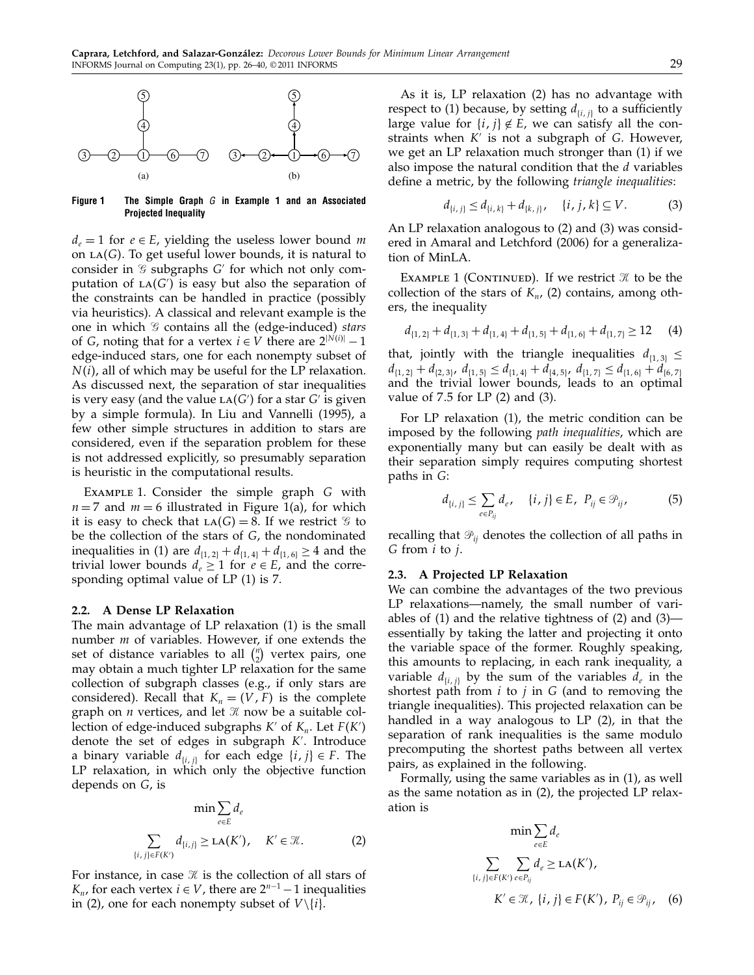

Figure 1 The Simple Graph  $G$  in Example 1 and an Associated Projected Inequality

 $d_e = 1$  for  $e \in E$ , yielding the useless lower bound m on LA(G). To get useful lower bounds, it is natural to consider in  $\mathcal G$  subgraphs  $G'$  for which not only computation of  $LA(G')$  is easy but also the separation of the constraints can be handled in practice (possibly via heuristics). A classical and relevant example is the one in which  $\mathcal G$  contains all the (edge-induced) stars of *G*, noting that for a vertex  $i \in V$  there are  $2^{|N(i)|} - 1$ edge-induced stars, one for each nonempty subset of  $N(i)$ , all of which may be useful for the LP relaxation. As discussed next, the separation of star inequalities is very easy (and the value LA(G') for a star G' is given by a simple formula). In Liu and Vannelli (1995), a few other simple structures in addition to stars are considered, even if the separation problem for these is not addressed explicitly, so presumably separation is heuristic in the computational results.

EXAMPLE 1. Consider the simple graph G with  $n = 7$  and  $m = 6$  illustrated in Figure 1(a), for which it is easy to check that  $LA(G) = 8$ . If we restrict  $\mathcal G$  to be the collection of the stars of G, the nondominated inequalities in (1) are  $d_{\{1,2\}} + d_{\{1,4\}} + d_{\{1,6\}} \ge 4$  and the trivial lower bounds  $d_e \geq 1$  for  $e \in E$ , and the corresponding optimal value of LP (1) is 7.

#### 2.2. A Dense LP Relaxation

The main advantage of LP relaxation (1) is the small number *m* of variables. However, if one extends the set of distance variables to all  $\binom{n}{2}$  vertex pairs, one may obtain a much tighter LP relaxation for the same collection of subgraph classes (e.g., if only stars are considered). Recall that  $K_n = (V, F)$  is the complete graph on *n* vertices, and let  $\mathcal K$  now be a suitable collection of edge-induced subgraphs  $K'$  of  $K_n$ . Let  $F(K')$ denote the set of edges in subgraph K . Introduce a binary variable  $d_{\{i,j\}}$  for each edge  $\{i,j\} \in F$ . The LP relaxation, in which only the objective function depends on G, is

$$
\min \sum_{e \in E} d_e
$$
  

$$
\sum_{\{i,j\} \in F(K')} d_{\{i,j\}} \geq \text{LA}(K'), \quad K' \in \mathcal{K}.
$$
 (2)

For instance, in case  $\mathcal X$  is the collection of all stars of  $K_n$ , for each vertex  $i \in V$ , there are  $2^{n-1} - 1$  inequalities in (2), one for each nonempty subset of  $V \setminus \{i\}.$ 

As it is, LP relaxation (2) has no advantage with respect to (1) because, by setting  $d_{\{i,j\}}$  to a sufficiently large value for  $\{i, j\} \notin E$ , we can satisfy all the constraints when  $K'$  is not a subgraph of  $G$ . However, we get an LP relaxation much stronger than (1) if we also impose the natural condition that the  $d$  variables define a metric, by the following triangle inequalities:

$$
d_{\{i,j\}} \le d_{\{i,k\}} + d_{\{k,j\}}, \quad \{i,j,k\} \subseteq V. \tag{3}
$$

An LP relaxation analogous to (2) and (3) was considered in Amaral and Letchford (2006) for a generalization of MinLA.

EXAMPLE 1 (CONTINUED). If we restrict  $\mathcal X$  to be the collection of the stars of  $K_n$ , (2) contains, among others, the inequality

$$
d_{\{1,2\}} + d_{\{1,3\}} + d_{\{1,4\}} + d_{\{1,5\}} + d_{\{1,6\}} + d_{\{1,7\}} \ge 12 \tag{4}
$$

that, jointly with the triangle inequalities  $d_{[1,3]} \leq$  $d_{\{1,2\}}+d_{\{2,3\}}, d_{\{1,5\}} \leq d_{\{1,4\}}+d_{\{4,5\}}, d_{\{1,7\}} \leq d_{\{1,6\}}+d_{\{6,7\}}$ and the trivial lower bounds, leads to an optimal value of  $7.5$  for LP  $(2)$  and  $(3)$ .

For LP relaxation (1), the metric condition can be imposed by the following path inequalities, which are exponentially many but can easily be dealt with as their separation simply requires computing shortest paths in G:

$$
d_{\{i,j\}} \leq \sum_{e \in P_{ij}} d_e, \quad \{i,j\} \in E, \ P_{ij} \in \mathcal{P}_{ij}, \tag{5}
$$

recalling that  $\mathcal{P}_{ij}$  denotes the collection of all paths in G from i to j.

#### 2.3. A Projected LP Relaxation

We can combine the advantages of the two previous LP relaxations—namely, the small number of variables of (1) and the relative tightness of (2) and (3) essentially by taking the latter and projecting it onto the variable space of the former. Roughly speaking, this amounts to replacing, in each rank inequality, a variable  $d_{i,j}$  by the sum of the variables  $d_e$  in the shortest path from  $i$  to  $j$  in  $G$  (and to removing the triangle inequalities). This projected relaxation can be handled in a way analogous to LP (2), in that the separation of rank inequalities is the same modulo precomputing the shortest paths between all vertex pairs, as explained in the following.

Formally, using the same variables as in (1), as well as the same notation as in (2), the projected LP relaxation is

$$
\min \sum_{e \in E} d_e
$$
\n
$$
\sum_{\{i,j\} \in F(K')} \sum_{e \in P_{ij}} d_e \ge \text{LA}(K'),
$$
\n
$$
K' \in \mathcal{K}, \{i,j\} \in F(K'), \ P_{ij} \in \mathcal{P}_{ij}, \quad (6)
$$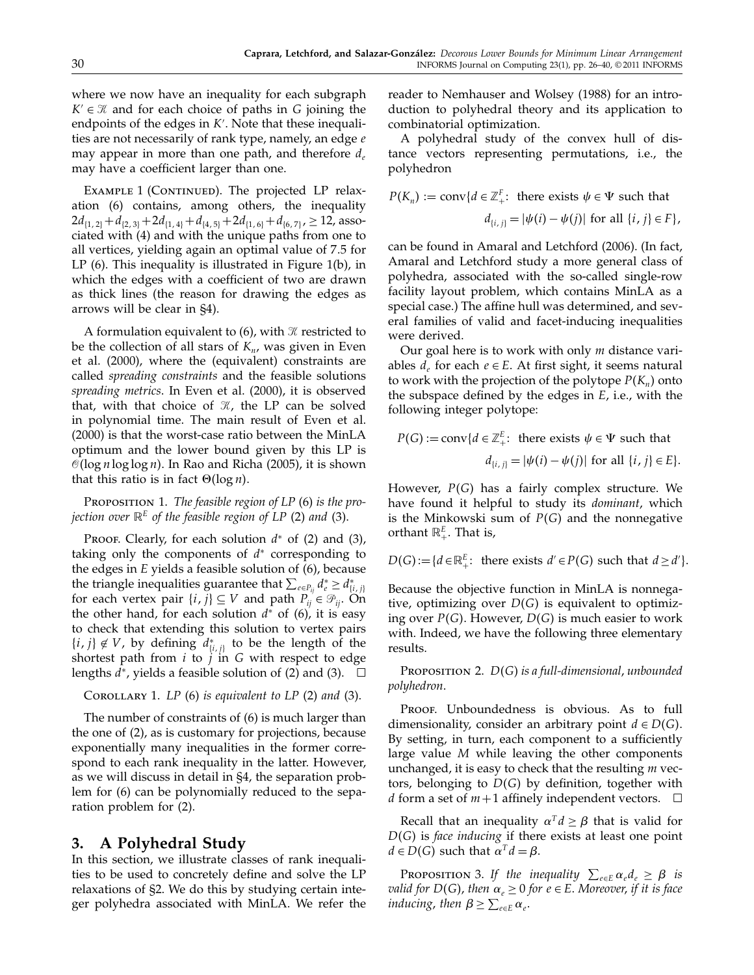where we now have an inequality for each subgraph  $K' \in \mathcal{K}$  and for each choice of paths in G joining the endpoints of the edges in K . Note that these inequalities are not necessarily of rank type, namely, an edge e may appear in more than one path, and therefore  $d_e$ may have a coefficient larger than one.

EXAMPLE 1 (CONTINUED). The projected LP relaxation (6) contains, among others, the inequality  $2d_{\{1,2\}}+d_{\{2,3\}}+2d_{\{1,4\}}+d_{\{4,5\}}+2d_{\{1,6\}}+d_{\{6,7\}}$ ,  $\geq 12$ , associated with (4) and with the unique paths from one to all vertices, yielding again an optimal value of 75 for LP (6). This inequality is illustrated in Figure 1(b), in which the edges with a coefficient of two are drawn as thick lines (the reason for drawing the edges as arrows will be clear in §4).

A formulation equivalent to  $(6)$ , with  $\mathcal X$  restricted to be the collection of all stars of  $K_n$ , was given in Even et al. (2000), where the (equivalent) constraints are called spreading constraints and the feasible solutions spreading metrics. In Even et al. (2000), it is observed that, with that choice of  $\mathcal{K}$ , the LP can be solved in polynomial time. The main result of Even et al. (2000) is that the worst-case ratio between the MinLA optimum and the lower bound given by this LP is  $\mathcal{O}(\log n \log \log n).$  In Rao and Richa (2005), it is shown that this ratio is in fact  $\Theta(\log n)$ .

PROPOSITION 1. The feasible region of LP (6) is the projection over  $\mathbb{R}^E$  of the feasible region of LP (2) and (3).

PROOF. Clearly, for each solution  $d^*$  of (2) and (3), taking only the components of  $d^*$  corresponding to the edges in E yields a feasible solution of (6), because the triangle inequalities guarantee that  $\sum_{e \in P_{ij}} d_e^* \ge d_{\{i,j\}}^*$ for each vertex pair  $\{i, j\} \subseteq V$  and path  $P_{ij} \in \mathcal{P}_{ij}$ . On the other hand, for each solution  $d^*$  of (6), it is easy to check that extending this solution to vertex pairs  $\{i, j\} \notin V$ , by defining  $d_{\{i, j\}}^*$  to be the length of the shortest path from  $i$  to  $j$  in  $G$  with respect to edge lengths  $\widetilde{d}^*$ , yields a feasible solution of (2) and (3).  $\Box$ 

```
COROLLARY 1. LP(6) is equivalent to LP(2) and (3).
```
The number of constraints of (6) is much larger than the one of (2), as is customary for projections, because exponentially many inequalities in the former correspond to each rank inequality in the latter. However, as we will discuss in detail in §4, the separation problem for (6) can be polynomially reduced to the separation problem for (2).

# 3. A Polyhedral Study

In this section, we illustrate classes of rank inequalities to be used to concretely define and solve the LP relaxations of §2. We do this by studying certain integer polyhedra associated with MinLA. We refer the reader to Nemhauser and Wolsey (1988) for an introduction to polyhedral theory and its application to combinatorial optimization.

A polyhedral study of the convex hull of distance vectors representing permutations, i.e., the polyhedron

$$
P(K_n) := \text{conv}\{d \in \mathbb{Z}_+^F: \text{ there exists } \psi \in \Psi \text{ such that } d_{\{i,j\}} = |\psi(i) - \psi(j)| \text{ for all } \{i,j\} \in F\},
$$

can be found in Amaral and Letchford (2006). (In fact, Amaral and Letchford study a more general class of polyhedra, associated with the so-called single-row facility layout problem, which contains MinLA as a special case.) The affine hull was determined, and several families of valid and facet-inducing inequalities were derived.

Our goal here is to work with only  $m$  distance variables  $d_e$  for each  $e \in E$ . At first sight, it seems natural to work with the projection of the polytope  $P(K_n)$  onto the subspace defined by the edges in E, i.e., with the following integer polytope:

$$
P(G) := \text{conv}\{d \in \mathbb{Z}_{+}^{E}: \text{ there exists } \psi \in \Psi \text{ such that } d_{\{i,j\}} = |\psi(i) - \psi(j)| \text{ for all } \{i,j\} \in E\}.
$$

However,  $P(G)$  has a fairly complex structure. We have found it helpful to study its dominant, which is the Minkowski sum of  $P(G)$  and the nonnegative orthant  $\mathbb{R}^E_+$ . That is,

$$
D(G) := \{ d \in \mathbb{R}_+^E: \text{ there exists } d' \in P(G) \text{ such that } d \ge d' \}.
$$

Because the objective function in MinLA is nonnegative, optimizing over  $D(G)$  is equivalent to optimizing over  $P(G)$ . However,  $D(G)$  is much easier to work with. Indeed, we have the following three elementary results.

PROPOSITION 2.  $D(G)$  is a full-dimensional, unbounded polyhedron.

PROOF. Unboundedness is obvious. As to full dimensionality, consider an arbitrary point  $d \in D(G)$ . By setting, in turn, each component to a sufficiently large value M while leaving the other components unchanged, it is easy to check that the resulting  $m$  vectors, belonging to  $D(G)$  by definition, together with *d* form a set of  $m+1$  affinely independent vectors.  $\Box$ 

Recall that an inequality  $\alpha^T d \geq \beta$  that is valid for  $D(G)$  is *face inducing* if there exists at least one point  $d \in D(G)$  such that  $\alpha^T d = \beta$ .

PROPOSITION 3. If the inequality  $\sum_{e \in E} \alpha_e d_e \ge \beta$  is valid for  $D(G)$ , then  $\alpha_e \geq 0$  for  $e \in E$ . Moreover, if it is face inducing, then  $\beta \geq \sum_{e \in E} \alpha_e$ .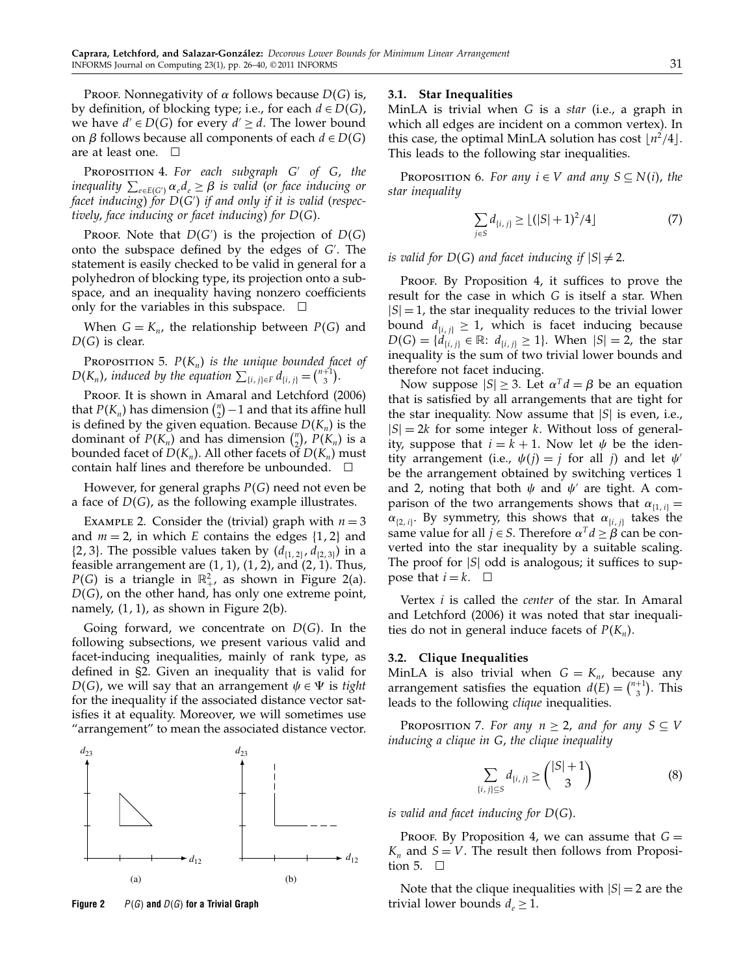PROOF. Nonnegativity of  $\alpha$  follows because  $D(G)$  is, by definition, of blocking type; i.e., for each  $d \in D(G)$ , we have  $d' \in D(G)$  for every  $d' \geq d$ . The lower bound on  $\beta$  follows because all components of each  $d \in D(G)$ are at least one.  $\Box$ 

PROPOSITION 4. For each subgraph  $G'$  of  $G$ , the inequality  $\sum_{e \in E(G')} \alpha_e d_e \geq \beta$  is valid (or face inducing or facet inducing) for  $D(G^{\prime})$  if and only if it is valid (respectively, face inducing or facet inducing) for  $D(G)$ .

PROOF. Note that  $D(G')$  is the projection of  $D(G)$ onto the subspace defined by the edges of G . The statement is easily checked to be valid in general for a polyhedron of blocking type, its projection onto a subspace, and an inequality having nonzero coefficients only for the variables in this subspace.  $\Box$ 

When  $G = K_n$ , the relationship between  $P(G)$  and  $D(G)$  is clear.

PROPOSITION 5.  $P(K_n)$  is the unique bounded facet of  $D(K_n)$ , induced by the equation  $\sum_{\{i,j\} \in F} d_{\{i,j\}} = \binom{n+1}{3}$ .

Proof. It is shown in Amaral and Letchford (2006) that  $P(K_n)$  has dimension  $\binom{n}{2} - 1$  and that its affine hull is defined by the given equation. Because  $D(K_n)$  is the dominant of  $P(K_n)$  and has dimension  $\binom{n}{2}$ ,  $P(K_n)$  is a bounded facet of  $D(K_n)$ . All other facets of  $D(K_n)$  must contain half lines and therefore be unbounded.  $\square$ 

However, for general graphs  $P(G)$  need not even be a face of  $D(G)$ , as the following example illustrates.

EXAMPLE 2. Consider the (trivial) graph with  $n = 3$ and  $m = 2$ , in which E contains the edges  $\{1, 2\}$  and  $\{2, 3\}$ . The possible values taken by  $(d_{\{1, 2\}}, d_{\{2, 3\}})$  in a feasible arrangement are  $(1, 1)$ ,  $(1, 2)$ , and  $(2, 1)$ . Thus,  $P(G)$  is a triangle in  $\mathbb{R}^2_+$ , as shown in Figure 2(a).  $D(G)$ , on the other hand, has only one extreme point, namely, (1, 1), as shown in Figure 2(b).

Going forward, we concentrate on  $D(G)$ . In the following subsections, we present various valid and facet-inducing inequalities, mainly of rank type, as defined in §2. Given an inequality that is valid for  $D(G)$ , we will say that an arrangement  $\psi \in \Psi$  is tight for the inequality if the associated distance vector satisfies it at equality. Moreover, we will sometimes use "arrangement" to mean the associated distance vector.



#### Figure 2  $P(G)$  and  $D(G)$  for a Trivial Graph

# 3.1. Star Inequalities

MinLA is trivial when G is a star (i.e., a graph in which all edges are incident on a common vertex). In this case, the optimal MinLA solution has cost  $\lfloor n^2/4 \rfloor$ . This leads to the following star inequalities.

PROPOSITION 6. For any  $i \in V$  and any  $S \subseteq N(i)$ , the star inequality

$$
\sum_{j \in S} d_{\{i,j\}} \ge \lfloor (|S|+1)^2/4 \rfloor \tag{7}
$$

is valid for  $D(G)$  and facet inducing if  $|S|\neq 2$ .

Proof. By Proposition 4, it suffices to prove the result for the case in which G is itself a star. When  $|S| = 1$ , the star inequality reduces to the trivial lower bound  $d_{\{i,j\}} \geq 1$ , which is facet inducing because  $D(G) = \{d_{\{i,j\}} \in \mathbb{R} \colon d_{\{i,j\}} \geq 1\}$ . When  $|S| = 2$ , the star inequality is the sum of two trivial lower bounds and therefore not facet inducing.

Now suppose  $|S| \geq 3$ . Let  $\alpha^T d = \beta$  be an equation that is satisfied by all arrangements that are tight for the star inequality. Now assume that  $|S|$  is even, i.e.,  $|S| = 2k$  for some integer k. Without loss of generality, suppose that  $i = k + 1$ . Now let  $\psi$  be the identity arrangement (i.e.,  $\psi(j) = j$  for all j) and let  $\psi'$ be the arrangement obtained by switching vertices 1 and 2, noting that both  $\psi$  and  $\psi'$  are tight. A comparison of the two arrangements shows that  $\alpha_{\{1,i\}} =$  $\alpha_{\{2, i\}}$ . By symmetry, this shows that  $\alpha_{\{i, j\}}$  takes the same value for all  $j \in S$ . Therefore  $\alpha^T d \ge \beta$  can be converted into the star inequality by a suitable scaling. The proof for  $|S|$  odd is analogous; it suffices to suppose that  $i = k$ .  $\Box$ 

Vertex *i* is called the *center* of the star. In Amaral and Letchford (2006) it was noted that star inequalities do not in general induce facets of  $P(K_n)$ .

#### 3.2. Clique Inequalities

MinLA is also trivial when  $G = K_n$ , because any arrangement satisfies the equation  $d(E) = \binom{n+1}{3}$ . This leads to the following *clique* inequalities.

PROPOSITION 7. For any  $n \geq 2$ , and for any  $S \subseteq V$ inducing a clique in G, the clique inequality

$$
\sum_{\{i,j\} \subseteq S} d_{\{i,j\}} \ge \binom{|S|+1}{3} \tag{8}
$$

is valid and facet inducing for  $D(G)$ .

PROOF. By Proposition 4, we can assume that  $G =$  $K_n$  and  $S = V$ . The result then follows from Proposition 5.  $\Box$ 

Note that the clique inequalities with  $|S| = 2$  are the trivial lower bounds  $d_e \geq 1$ .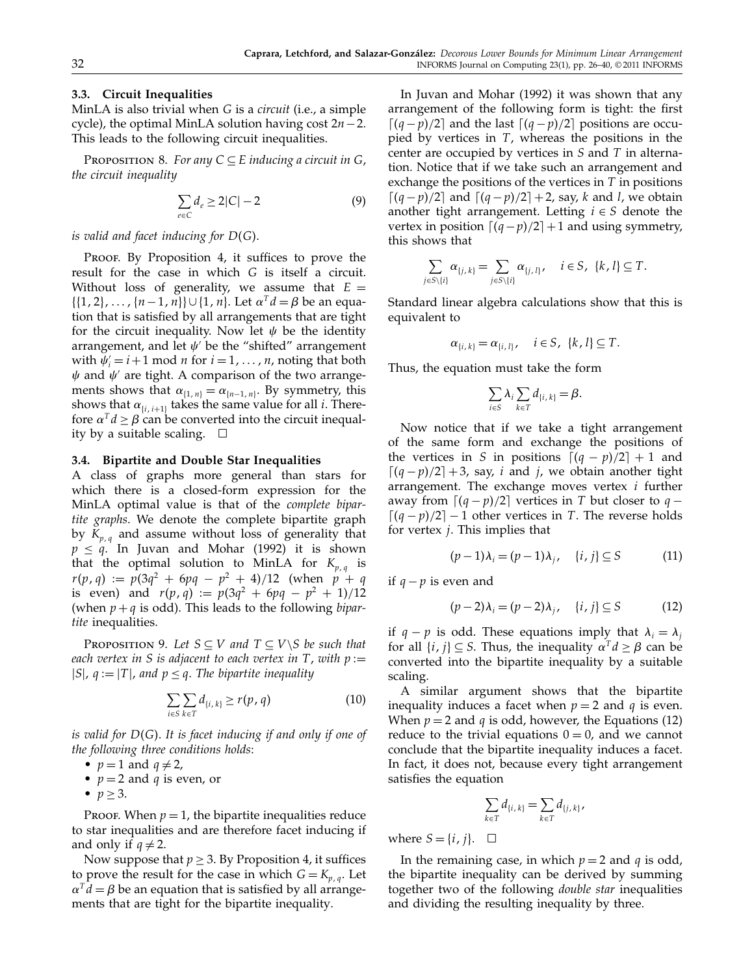## 3.3. Circuit Inequalities

MinLA is also trivial when G is a circuit (i.e., a simple cycle), the optimal MinLA solution having cost  $2n-2$ . This leads to the following circuit inequalities.

PROPOSITION 8. For any  $C \subseteq E$  inducing a circuit in G, the circuit inequality

$$
\sum_{e \in C} d_e \ge 2|C| - 2 \tag{9}
$$

#### is valid and facet inducing for  $D(G).$

PROOF. By Proposition 4, it suffices to prove the result for the case in which G is itself a circuit. Without loss of generality, we assume that  $E =$  $\{ \{1, 2\}, \ldots, \{n-1, n\} \} \cup \{1, n\}.$  Let  $\alpha^{T} d = \beta$  be an equation that is satisfied by all arrangements that are tight for the circuit inequality. Now let  $\psi$  be the identity arrangement, and let  $\psi'$  be the "shifted" arrangement with  $\psi_i' = i+1 \mod n$  for  $i = 1, \ldots, n$ , noting that both  $\psi$  and  $\psi'$  are tight. A comparison of the two arrangements shows that  $\alpha_{\{1,n\}} = \alpha_{\{n-1,n\}}$ . By symmetry, this shows that  $\alpha_{i,i+1}$  takes the same value for all *i*. Therefore  $\alpha^T d \ge \beta$  can be converted into the circuit inequality by a suitable scaling.  $\Box$ 

#### 3.4. Bipartite and Double Star Inequalities

A class of graphs more general than stars for which there is a closed-form expression for the MinLA optimal value is that of the complete bipartite graphs. We denote the complete bipartite graph by  $K_{p,q}$  and assume without loss of generality that  $p \le q$ . In Juvan and Mohar (1992) it is shown that the optimal solution to MinLA for  $K_{p,q}$  is  $r(p, q) := p(3q^2 + 6pq - p^2 + 4)/12$  (when  $p + q$ is even) and  $r(p, q) := p(3q^2 + 6pq - p^2 + 1)/12$ (when  $p + q$  is odd). This leads to the following *bipar*tite inequalities.

PROPOSITION 9. Let  $S \subseteq V$  and  $T \subseteq V \setminus S$  be such that each vertex in S is adjacent to each vertex in T, with  $p :=$  $|S|$ ,  $q := |T|$ , and  $p \leq q$ . The bipartite inequality

$$
\sum_{i\in S}\sum_{k\in T}d_{\{i,k\}}\geq r(p,q)
$$
 (10)

is valid for  $D(G).$  It is facet inducing if and only if one of the following three conditions holds:

- $p=1$  and  $q\neq 2$ ,
- $p = 2$  and q is even, or
- $p \geq 3$ .

Proof. When  $p = 1$ , the bipartite inequalities reduce to star inequalities and are therefore facet inducing if and only if  $q \neq 2$ .

Now suppose that  $p \geq 3$ . By Proposition 4, it suffices to prove the result for the case in which  $G = K_{p,q}$ . Let  $\alpha^T d = \beta$  be an equation that is satisfied by all arrangements that are tight for the bipartite inequality.

In Juvan and Mohar (1992) it was shown that any arrangement of the following form is tight: the first  $\lceil (q-p)/2 \rceil$  and the last  $\lceil (q-p)/2 \rceil$  positions are occupied by vertices in  $T$ , whereas the positions in the center are occupied by vertices in S and T in alternation. Notice that if we take such an arrangement and exchange the positions of the vertices in  $T$  in positions  $\lceil (q-p)/2 \rceil$  and  $\lceil (q-p)/2 \rceil + 2$ , say, k and l, we obtain another tight arrangement. Letting  $i \in S$  denote the vertex in position  $\lceil (q-p)/2 \rceil + 1$  and using symmetry, this shows that

$$
\sum_{j \in S \setminus \{i\}} \alpha_{\{j,\,k\}} = \sum_{j \in S \setminus \{i\}} \alpha_{\{j,\,l\}}, \quad i \in S, \ \{k,\,l\} \subseteq T.
$$

Standard linear algebra calculations show that this is equivalent to

$$
\alpha_{\{i,k\}} = \alpha_{\{i,l\}}, \quad i \in S, \ \{k,l\} \subseteq T.
$$

Thus, the equation must take the form

$$
\sum_{i\in S}\lambda_i\sum_{k\in T}d_{\{i,\,k\}}=\beta.
$$

Now notice that if we take a tight arrangement of the same form and exchange the positions of the vertices in S in positions  $\lceil (q - p)/2 \rceil + 1$  and  $\lceil (q-p)/2 \rceil + 3$ , say, *i* and *j*, we obtain another tight arrangement. The exchange moves vertex  $i$  further away from  $\lceil (q - p)/2 \rceil$  vertices in T but closer to  $q \left[ (q - p)/2 \right] - 1$  other vertices in T. The reverse holds for vertex  $j$ . This implies that

$$
(p-1)\lambda_i = (p-1)\lambda_j, \quad \{i, j\} \subseteq S \tag{11}
$$

if  $q$  −  $p$  is even and

$$
(p-2)\lambda_i = (p-2)\lambda_j, \quad \{i, j\} \subseteq S \tag{12}
$$

if  $q - p$  is odd. These equations imply that  $\lambda_i = \lambda_i$ for all  $\{i, j\} \subseteq S$ . Thus, the inequality  $\alpha^T d \ge \beta$  can be converted into the bipartite inequality by a suitable scaling.

A similar argument shows that the bipartite inequality induces a facet when  $p = 2$  and q is even. When  $p = 2$  and q is odd, however, the Equations (12) reduce to the trivial equations  $0 = 0$ , and we cannot conclude that the bipartite inequality induces a facet. In fact, it does not, because every tight arrangement satisfies the equation

$$
\sum_{k\in T}d_{\{i,k\}}=\sum_{k\in T}d_{\{j,k\}},
$$

where  $S = \{i, j\}$ .  $\Box$ 

In the remaining case, in which  $p = 2$  and q is odd, the bipartite inequality can be derived by summing together two of the following double star inequalities and dividing the resulting inequality by three.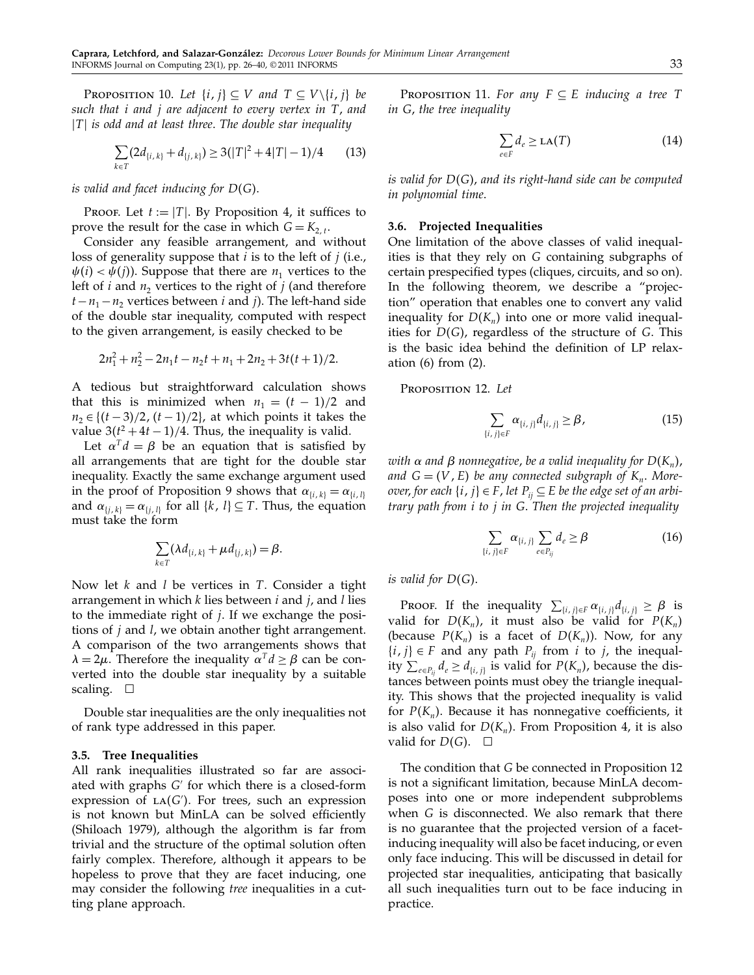PROPOSITION 10. Let  $\{i, j\} \subseteq V$  and  $T \subseteq V \setminus \{i, j\}$  be such that *i* and *j* are adjacent to every vertex in T, and  $|T|$  is odd and at least three. The double star inequality

$$
\sum_{k \in T} (2d_{\{i,k\}} + d_{\{j,k\}}) \ge 3(|T|^2 + 4|T| - 1)/4 \tag{13}
$$

is valid and facet inducing for  $D(G).$ 

PROOF. Let  $t := |T|$ . By Proposition 4, it suffices to prove the result for the case in which  $G = K_{2,t}$ .

Consider any feasible arrangement, and without loss of generality suppose that  $i$  is to the left of  $j$  (i.e.,  $\psi(i) < \psi(j)$ ). Suppose that there are  $n_1$  vertices to the left of *i* and  $n_2$  vertices to the right of *j* (and therefore  $t-n_1-n_2$  vertices between *i* and *j*). The left-hand side of the double star inequality, computed with respect to the given arrangement, is easily checked to be

$$
2n_1^2 + n_2^2 - 2n_1t - n_2t + n_1 + 2n_2 + 3t(t+1)/2.
$$

A tedious but straightforward calculation shows that this is minimized when  $n_1 = (t - 1)/2$  and  $n_2 \in \{(t-3)/2, (t-1)/2\}$ , at which points it takes the value  $3(t^2 + 4t - 1)/4$ . Thus, the inequality is valid.

Let  $\alpha^T d = \beta$  be an equation that is satisfied by all arrangements that are tight for the double star inequality. Exactly the same exchange argument used in the proof of Proposition 9 shows that  $\alpha_{i,i,k} = \alpha_{i,i,l}$ and  $\alpha_{\{i,k\}} = \alpha_{\{i,l\}}$  for all  $\{k, l\} \subseteq T$ . Thus, the equation must take the form

$$
\sum_{k\in T} (\lambda d_{\{i,k\}} + \mu d_{\{j,k\}}) = \beta.
$$

Now let  $k$  and  $l$  be vertices in  $T$ . Consider a tight arrangement in which  $k$  lies between  $i$  and  $j$ , and  $l$  lies to the immediate right of  $j$ . If we exchange the positions of  $j$  and  $l$ , we obtain another tight arrangement. A comparison of the two arrangements shows that  $\lambda = 2\mu$ . Therefore the inequality  $\alpha^T d \ge \beta$  can be converted into the double star inequality by a suitable scaling.  $\Box$ 

Double star inequalities are the only inequalities not of rank type addressed in this paper.

#### 3.5. Tree Inequalities

All rank inequalities illustrated so far are associated with graphs  $G'$  for which there is a closed-form  $expression$  of  $LA(G')$ . For trees, such an expression is not known but MinLA can be solved efficiently (Shiloach 1979), although the algorithm is far from trivial and the structure of the optimal solution often fairly complex. Therefore, although it appears to be hopeless to prove that they are facet inducing, one may consider the following tree inequalities in a cutting plane approach.

PROPOSITION 11. For any  $F \subseteq E$  inducing a tree T in G, the tree inequality

$$
\sum_{e \in F} d_e \ge \text{LA}(T) \tag{14}
$$

is valid for  $\mathrm{D}(\mathrm{G})$ , and its right-hand side can be computed in polynomial time.

#### 3.6. Projected Inequalities

One limitation of the above classes of valid inequalities is that they rely on G containing subgraphs of certain prespecified types (cliques, circuits, and so on). In the following theorem, we describe a "projection" operation that enables one to convert any valid inequality for  $D(K_n)$  into one or more valid inequalities for  $D(G)$ , regardless of the structure of G. This is the basic idea behind the definition of LP relaxation (6) from (2).

Proposition 12. Let

$$
\sum_{\{i,j\}\in F} \alpha_{\{i,j\}} d_{\{i,j\}} \ge \beta,\tag{15}
$$

with  $\alpha$  and  $\beta$  nonnegative, be a valid inequality for  $D(K_n)$ , and  $G = (V, E)$  be any connected subgraph of  $K_n$ . Moreover, for each  $\{i, j\} \in F$ , let  $P_{ij} \subseteq E$  be the edge set of an arbitrary path from i to j in G. Then the projected inequality

$$
\sum_{\{i,j\}\in F} \alpha_{\{i,j\}} \sum_{e\in P_{ij}} d_e \geq \beta \tag{16}
$$

is valid for  $D(G)$ .

PROOF. If the inequality  $\sum_{\{i,j\} \in F} \alpha_{\{i,j\}} d_{\{i,j\}} \ge \beta$  is valid for  $D(K_n)$ , it must also be valid for  $P(K_n)$ (because  $P(K_n)$  is a facet of  $D(K_n)$ ). Now, for any  $\{i, j\} \in F$  and any path  $P_{ii}$  from i to j, the inequality  $\sum_{e \in P_{ij}} d_e \ge d_{\{i, j\}}$  is valid for  $P(K_n)$ , because the distances between points must obey the triangle inequality. This shows that the projected inequality is valid for  $P(K_n)$ . Because it has nonnegative coefficients, it is also valid for  $D(K_n)$ . From Proposition 4, it is also valid for  $D(G)$ .  $\square$ 

The condition that G be connected in Proposition 12 is not a significant limitation, because MinLA decomposes into one or more independent subproblems when G is disconnected. We also remark that there is no guarantee that the projected version of a facetinducing inequality will also be facet inducing, or even only face inducing. This will be discussed in detail for projected star inequalities, anticipating that basically all such inequalities turn out to be face inducing in practice.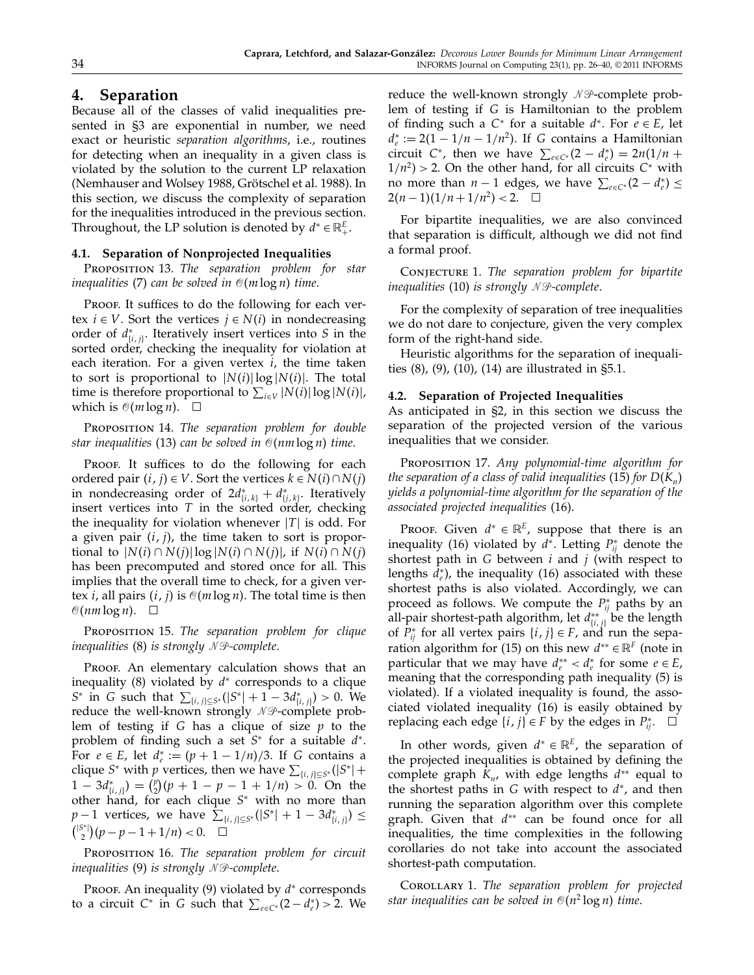# 4. Separation

Because all of the classes of valid inequalities presented in §3 are exponential in number, we need exact or heuristic separation algorithms, i.e., routines for detecting when an inequality in a given class is violated by the solution to the current LP relaxation (Nemhauser and Wolsey 1988, Grötschel et al. 1988). In this section, we discuss the complexity of separation for the inequalities introduced in the previous section. Throughout, the LP solution is denoted by  $d^* \in \mathbb{R}_+^E$ .

## 4.1. Separation of Nonprojected Inequalities

PROPOSITION 13. The separation problem for star inequalities (7) can be solved in  $\mathcal{O}(m\log n)$  time.

Proof. It suffices to do the following for each vertex  $i \in V$ . Sort the vertices  $j \in N(i)$  in nondecreasing order of  $d_{\{i,j\}}^*$ . Iteratively insert vertices into S in the sorted order, checking the inequality for violation at each iteration. For a given vertex  $i$ , the time taken to sort is proportional to  $|N(i)| \log |N(i)|$ . The total time is therefore proportional to  $\sum_{i\in V} |N(i)| \log |N(i)|$ , which is  $\mathcal{O}(m \log n)$ .  $\Box$ 

PROPOSITION 14. The separation problem for double star inequalities (13) can be solved in  $\mathcal{O}(nm\log n)$  time.

PROOF. It suffices to do the following for each ordered pair  $(i, j) \in V$ . Sort the vertices  $k \in N(i) \cap N(j)$ in nondecreasing order of  $2d^*_{\{i,k\}} + d^*_{\{j,k\}}$ . Iteratively insert vertices into  $T$  in the sorted order, checking the inequality for violation whenever  $|T|$  is odd. For a given pair  $(i, j)$ , the time taken to sort is proportional to  $|N(i) \cap N(j)| \log |N(i) \cap N(j)|$ , if  $N(i) \cap N(j)$ has been precomputed and stored once for all. This implies that the overall time to check, for a given vertex *i*, all pairs  $(i, j)$  is  $\mathcal{O}(m \log n)$ . The total time is then  $\mathcal{O}(nm \log n)$ .  $\Box$ 

PROPOSITION 15. The separation problem for clique inequalities (8) is strongly  $\mathcal N\mathcal P$ -complete.

PROOF. An elementary calculation shows that an inequality (8) violated by  $d^*$  corresponds to a clique  $S^*$  in G such that  $\sum_{\{i,j\} \subseteq S^*} (|S^*| + 1 - 3d^*_{\{i,j\}}) > 0$ . We reduce the well-known strongly  $\mathscr N\mathscr P$ -complete problem of testing if G has a clique of size  $p$  to the problem of finding such a set  $S^*$  for a suitable  $d^*$ . For  $e \in E$ , let  $d_e^* := (p + 1 - 1/n)/3$ . If G contains a clique S<sup>∗</sup> with *p* vertices, then we have  $\sum_{\{i,j\} \subseteq S^*} (|S^*| +$  $1 - 3d_{\{i,j\}}^* = {p \choose 2}(p + 1 - p - 1 + 1/n) > 0$ . On the other hand, for each clique  $S^*$  with no more than  $p-1$  vertices, we have  $\sum_{\{i,j\} \subseteq S^*} (|S^*| + 1 - 3d^*_{\{i,j\}}) \le$  $\binom{|S^*|}{2}(p-p-1+1/n) < 0.$   $\Box$ 

PROPOSITION 16. The separation problem for circuit inequalities  $(9)$  is strongly NP-complete.

Proof. An inequality (9) violated by  $d^*$  corresponds to a circuit  $C^*$  in G such that  $\sum_{e \in C^*} (2 - d_e^*) > 2$ . We

reduce the well-known strongly  $\mathscr N\mathscr P$ -complete problem of testing if G is Hamiltonian to the problem of finding such a  $C^*$  for a suitable  $d^*$ . For  $e \in E$ , let  $d_e^* := 2(1 - 1/n - 1/n^2)$ . If G contains a Hamiltonian circuit C<sup>∗</sup>, then we have  $\sum_{e \in C^*} (2 - d_e^*) = 2n(1/n +$  $1/n^2$  > 2. On the other hand, for all circuits  $C^*$  with no more than  $n-1$  edges, we have  $\sum_{e \in C^*} (2 - d_e^*) \le$  $2(n-1)(1/n+1/n^2) < 2.$   $\Box$ 

For bipartite inequalities, we are also convinced that separation is difficult, although we did not find a formal proof.

CONJECTURE 1. The separation problem for bipartite inequalities (10) is strongly  $\mathcal N\mathcal P$ -complete.

For the complexity of separation of tree inequalities we do not dare to conjecture, given the very complex form of the right-hand side.

Heuristic algorithms for the separation of inequalities (8), (9), (10), (14) are illustrated in §5.1.

#### 4.2. Separation of Projected Inequalities

As anticipated in §2, in this section we discuss the separation of the projected version of the various inequalities that we consider.

PROPOSITION 17. Any polynomial-time algorithm for the separation of a class of valid inequalities (15) for  $D(K_n)$ yields a polynomial-time algorithm for the separation of the associated projected inequalities (16).

PROOF. Given  $d^* \in \mathbb{R}^E$ , suppose that there is an inequality (16) violated by  $d^*$ . Letting  $P_{ij}^*$  denote the shortest path in G between  $i$  and  $j$  (with respect to lengths  $d_e^*$ ), the inequality (16) associated with these shortest paths is also violated. Accordingly, we can proceed as follows. We compute the  $P_{ij}^{\ast}$  paths by an all-pair shortest-path algorithm, let  $d_{\{i,\,j\}}^{**}$  be the length of  $P_{ij}^*$  for all vertex pairs  $\{i, j\} \in F$ , and run the separation algorithm for (15) on this new  $d^{**} \in \mathbb{R}^F$  (note in particular that we may have  $d_e^{**} < d_e^*$  for some  $e \in E$ , meaning that the corresponding path inequality (5) is violated). If a violated inequality is found, the associated violated inequality (16) is easily obtained by replacing each edge  $\{i, j\} \in F$  by the edges in  $P_{ij}^*$ .  $\Box$ 

In other words, given  $d^* \in \mathbb{R}^E$ , the separation of the projected inequalities is obtained by defining the complete graph  $K_n$ , with edge lengths  $d^{**}$  equal to the shortest paths in G with respect to  $d^*$ , and then running the separation algorithm over this complete graph. Given that  $d^{**}$  can be found once for all inequalities, the time complexities in the following corollaries do not take into account the associated shortest-path computation.

COROLLARY 1. The separation problem for projected star inequalities can be solved in  $\mathcal{O}(n^2\log n)$  time.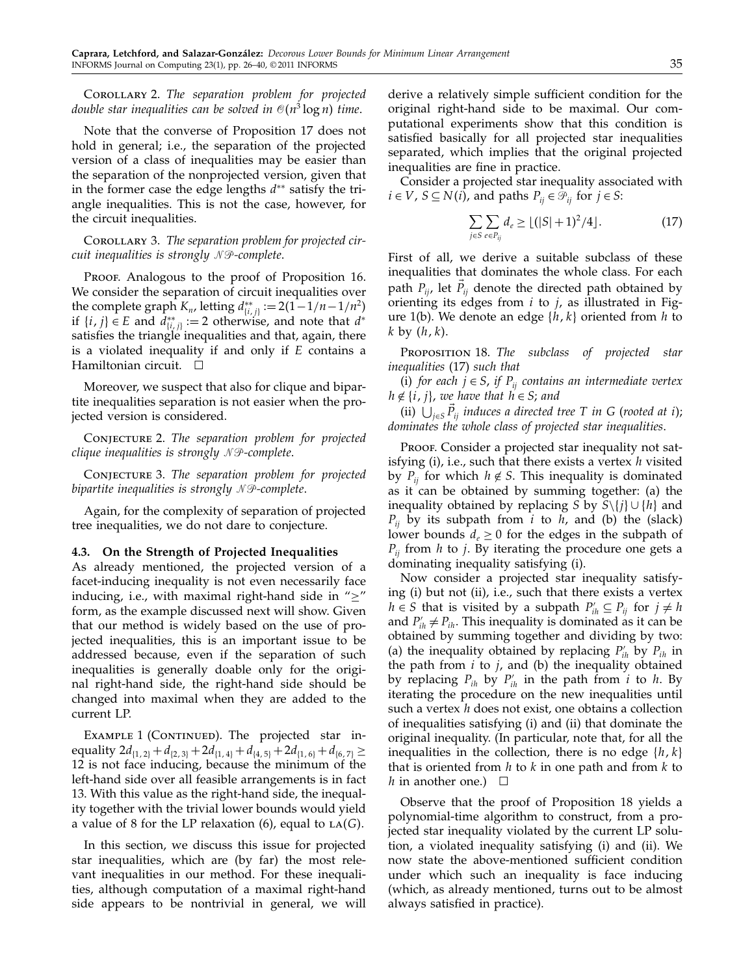COROLLARY 2. The separation problem for projected double star inequalities can be solved in  $\mathcal{O}(n^3\log n)$  time.

Note that the converse of Proposition 17 does not hold in general; i.e., the separation of the projected version of a class of inequalities may be easier than the separation of the nonprojected version, given that in the former case the edge lengths d∗∗ satisfy the triangle inequalities. This is not the case, however, for the circuit inequalities.

COROLLARY 3. The separation problem for projected circuit inequalities is strongly  $\mathcal N\mathcal P$ -complete.

PROOF. Analogous to the proof of Proposition 16. We consider the separation of circuit inequalities over the complete graph  $K_n$ , letting  $d_{\{i,j\}}^{**} := 2(1 - 1/n - 1/n^2)$ if  $\{i, j\} \in E$  and  $d_{\{i, j\}}^{**} := 2$  otherwise, and note that  $d^*$ satisfies the triangle inequalities and that, again, there is a violated inequality if and only if E contains a Hamiltonian circuit.  $\Box$ 

Moreover, we suspect that also for clique and bipartite inequalities separation is not easier when the projected version is considered.

CONJECTURE 2. The separation problem for projected clique inequalities is strongly  $\mathcal N\mathcal P$ -complete.

CONJECTURE 3. The separation problem for projected bipartite inequalities is strongly  $\mathcal N\mathcal P$ -complete.

Again, for the complexity of separation of projected tree inequalities, we do not dare to conjecture.

#### 4.3. On the Strength of Projected Inequalities

As already mentioned, the projected version of a facet-inducing inequality is not even necessarily face inducing, i.e., with maximal right-hand side in " $\geq$ " form, as the example discussed next will show. Given that our method is widely based on the use of projected inequalities, this is an important issue to be addressed because, even if the separation of such inequalities is generally doable only for the original right-hand side, the right-hand side should be changed into maximal when they are added to the current LP.

EXAMPLE 1 (CONTINUED). The projected star inequality  $2d_{[1, 2]} + d_{[2, 3]} + 2d_{[1, 4]} + d_{[4, 5]} + 2d_{[1, 6]} + d_{[6, 7]} \ge$ 12 is not face inducing, because the minimum of the left-hand side over all feasible arrangements is in fact 13. With this value as the right-hand side, the inequality together with the trivial lower bounds would yield a value of 8 for the LP relaxation (6), equal to  $LA(G)$ .

In this section, we discuss this issue for projected star inequalities, which are (by far) the most relevant inequalities in our method. For these inequalities, although computation of a maximal right-hand side appears to be nontrivial in general, we will

derive a relatively simple sufficient condition for the original right-hand side to be maximal. Our computational experiments show that this condition is satisfied basically for all projected star inequalities separated, which implies that the original projected inequalities are fine in practice.

Consider a projected star inequality associated with  $i \in V$ ,  $S \subseteq N(i)$ , and paths  $P_{ij} \in \mathcal{P}_{ij}$  for  $j \in S$ :

$$
\sum_{j \in S} \sum_{e \in P_{ij}} d_e \ge \lfloor (|S| + 1)^2 / 4 \rfloor.
$$
 (17)

First of all, we derive a suitable subclass of these inequalities that dominates the whole class. For each path  $P_{ij}$ , let  $P_{ij}$  denote the directed path obtained by orienting its edges from  $i$  to  $j$ , as illustrated in Figure 1(b). We denote an edge  $\{h, k\}$  oriented from h to  $k$  by  $(h, k)$ .

PROPOSITION 18. The subclass of projected star inequalities (17) such that

(i) for each  $j \in S$ , if  $P_{ij}$  contains an intermediate vertex  $h \notin \{i, j\}$ , we have that  $h \in S$ ; and

(ii)  $\bigcup_{j\in S} P_{ij}$  induces a directed tree T in G (rooted at i); dominates the whole class of projected star inequalities.

Proof. Consider a projected star inequality not satisfying (i), i.e., such that there exists a vertex  $h$  visited by  $P_{ij}$  for which  $h \notin S$ . This inequality is dominated as it can be obtained by summing together: (a) the inequality obtained by replacing S by  $S\setminus\{j\} \cup \{h\}$  and  $P_{ij}$  by its subpath from *i* to *h*, and (b) the (slack) lower bounds  $d_e \geq 0$  for the edges in the subpath of  $P_{ii}$  from *h* to *j*. By iterating the procedure one gets a dominating inequality satisfying (i).

Now consider a projected star inequality satisfying (i) but not (ii), i.e., such that there exists a vertex  $h \in S$  that is visited by a subpath  $P'_{ih} \subseteq P_{ij}$  for  $j \neq h$ and  $P'_{ih} \neq P_{ih}$ . This inequality is dominated as it can be obtained by summing together and dividing by two: (a) the inequality obtained by replacing  $P'_{ih}$  by  $P_{ih}$  in the path from  $i$  to  $j$ , and (b) the inequality obtained by replacing  $P_{ih}$  by  $P'_{ih}$  in the path from  $i$  to  $h$ . By iterating the procedure on the new inequalities until such a vertex  $h$  does not exist, one obtains a collection of inequalities satisfying (i) and (ii) that dominate the original inequality. (In particular, note that, for all the inequalities in the collection, there is no edge  $\{h, k\}$ that is oriented from  $h$  to  $k$  in one path and from  $k$  to h in another one.)  $\Box$ 

Observe that the proof of Proposition 18 yields a polynomial-time algorithm to construct, from a projected star inequality violated by the current LP solution, a violated inequality satisfying (i) and (ii). We now state the above-mentioned sufficient condition under which such an inequality is face inducing (which, as already mentioned, turns out to be almost always satisfied in practice).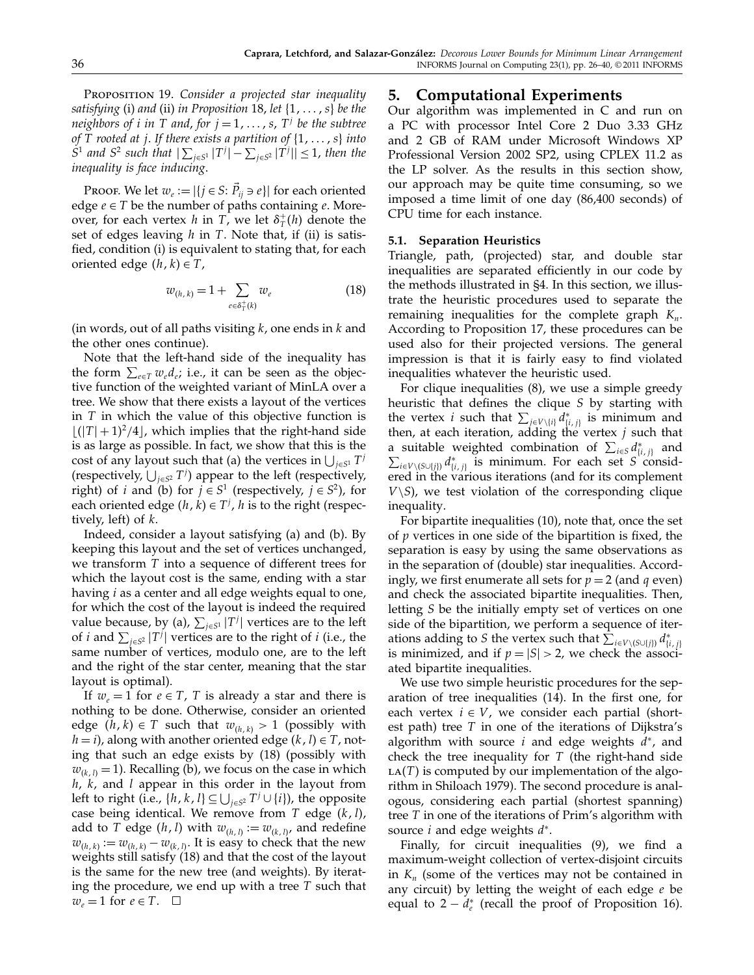PROPOSITION 19. Consider a projected star inequality satisfying (i) and (ii) in Proposition 18, let  $\{1, \ldots, s\}$  be the neighbors of *i* in T and, for  $j = 1, \ldots, s$ ,  $T<sup>j</sup>$  be the subtree of T rooted at j. If there exists a partition of  $\{1, \ldots, s\}$  into  $S^1$  and  $S^2$  such that  $|\sum_{j\in S^1} |T^j| - \sum_{j\in S^2} |T^j|| \leq 1$ , then the inequality is face inducing.

Proof. We let  $w_e := |\{j \in S: \vec{P}_{ij} \ni e\}|$  for each oriented edge  $e \in T$  be the number of paths containing e. Moreover, for each vertex h in T, we let  $\delta^+_T(h)$  denote the set of edges leaving  $h$  in  $T$ . Note that, if (ii) is satisfied, condition (i) is equivalent to stating that, for each oriented edge  $(h, k) \in T$ ,

$$
w_{(h,k)} = 1 + \sum_{e \in \delta_T^+(k)} w_e \tag{18}
$$

(in words, out of all paths visiting  $k$ , one ends in  $k$  and the other ones continue).

Note that the left-hand side of the inequality has the form  $\sum_{e \in T} w_e d_e$ ; i.e., it can be seen as the objective function of the weighted variant of MinLA over a tree. We show that there exists a layout of the vertices in  $T$  in which the value of this objective function is  $\lfloor (|T|+1)^2/4 \rfloor$ , which implies that the right-hand side is as large as possible. In fact, we show that this is the cost of any layout such that (a) the vertices in  $\bigcup_{j\in S^1} T^j$ (respectively,  $\bigcup_{j\in S^2} T^j$ ) appear to the left (respectively, right) of i and (b) for  $j \in S^1$  (respectively,  $j \in S^2$ ), for each oriented edge  $(h, k) \in T^j$ , *h* is to the right (respectively, left) of  $k$ .

Indeed, consider a layout satisfying (a) and (b). By keeping this layout and the set of vertices unchanged, we transform T into a sequence of different trees for which the layout cost is the same, ending with a star having *i* as a center and all edge weights equal to one, for which the cost of the layout is indeed the required value because, by (a),  $\sum_{j \in S^1} |T^j|$  vertices are to the left of *i* and  $\sum_{j \in S^2} |T^j|$  vertices are to the right of *i* (i.e., the same number of vertices, modulo one, are to the left and the right of the star center, meaning that the star layout is optimal).

If  $w_e = 1$  for  $e \in T$ , T is already a star and there is nothing to be done. Otherwise, consider an oriented edge  $(h, k) \in T$  such that  $w_{(h, k)} > 1$  (possibly with  $h = i$ ), along with another oriented edge  $(k, l) \in T$ , noting that such an edge exists by (18) (possibly with  $w_{(k, l)} = 1$ ). Recalling (b), we focus on the case in which  $h$ ,  $k$ , and  $l$  appear in this order in the layout from left to right (i.e., { $h$ ,  $k$ ,  $l$ }  $\subseteq \bigcup_{j \in S^2} T^j \cup \{i\}$ ), the opposite case being identical. We remove from T edge  $(k, l)$ , add to T edge  $(h, l)$  with  $w_{(h, l)} := w_{(k, l)}$ , and redefine  $w_{(h,k)} := w_{(h,k)} - w_{(k,l)}$ . It is easy to check that the new weights still satisfy (18) and that the cost of the layout is the same for the new tree (and weights). By iterating the procedure, we end up with a tree  $T$  such that  $\overrightarrow{w_e} = 1$  for  $e \in T$ .  $\Box$ 

# 5. Computational Experiments

Our algorithm was implemented in C and run on a PC with processor Intel Core 2 Duo 3.33 GHz and 2 GB of RAM under Microsoft Windows XP Professional Version 2002 SP2, using CPLEX 11.2 as the LP solver. As the results in this section show, our approach may be quite time consuming, so we imposed a time limit of one day (86,400 seconds) of CPU time for each instance.

## 5.1. Separation Heuristics

Triangle, path, (projected) star, and double star inequalities are separated efficiently in our code by the methods illustrated in §4. In this section, we illustrate the heuristic procedures used to separate the remaining inequalities for the complete graph  $K_n$ . According to Proposition 17, these procedures can be used also for their projected versions. The general impression is that it is fairly easy to find violated inequalities whatever the heuristic used.

For clique inequalities (8), we use a simple greedy heuristic that defines the clique S by starting with the vertex *i* such that  $\sum_{j \in V \setminus \{i\}} d_{\{i,j\}}^*$  is minimum and then, at each iteration, adding the vertex  $j$  such that a suitable weighted combination of  $\sum_{i \in S} d_{\{i,j\}}^*$  and  $\sum_{i\in V\setminus (S\cup \{j\})} d_{\{i,j\}}^*$  is minimum. For each set S considered in the various iterations (and for its complement  $V \setminus S$ , we test violation of the corresponding clique inequality.

For bipartite inequalities (10), note that, once the set of p vertices in one side of the bipartition is fixed, the separation is easy by using the same observations as in the separation of (double) star inequalities. Accordingly, we first enumerate all sets for  $p = 2$  (and q even) and check the associated bipartite inequalities. Then, letting S be the initially empty set of vertices on one side of the bipartition, we perform a sequence of iterations adding to S the vertex such that  $\sum_{i \in V \setminus (S \cup \{j\})} d_{\{i,j\}}^*$ is minimized, and if  $p = |S| > 2$ , we check the associated bipartite inequalities.

We use two simple heuristic procedures for the separation of tree inequalities (14). In the first one, for each vertex  $i \in V$ , we consider each partial (shortest path) tree  $T$  in one of the iterations of Dijkstra's algorithm with source i and edge weights  $d^*$ , and check the tree inequality for  $T$  (the right-hand side  $LA(T)$  is computed by our implementation of the algorithm in Shiloach 1979). The second procedure is analogous, considering each partial (shortest spanning) tree T in one of the iterations of Prim's algorithm with source  $i$  and edge weights  $d^*$ .

Finally, for circuit inequalities (9), we find a maximum-weight collection of vertex-disjoint circuits in  $K_n$  (some of the vertices may not be contained in any circuit) by letting the weight of each edge  $e$  be equal to  $2 - d^*_{e}$  (recall the proof of Proposition 16).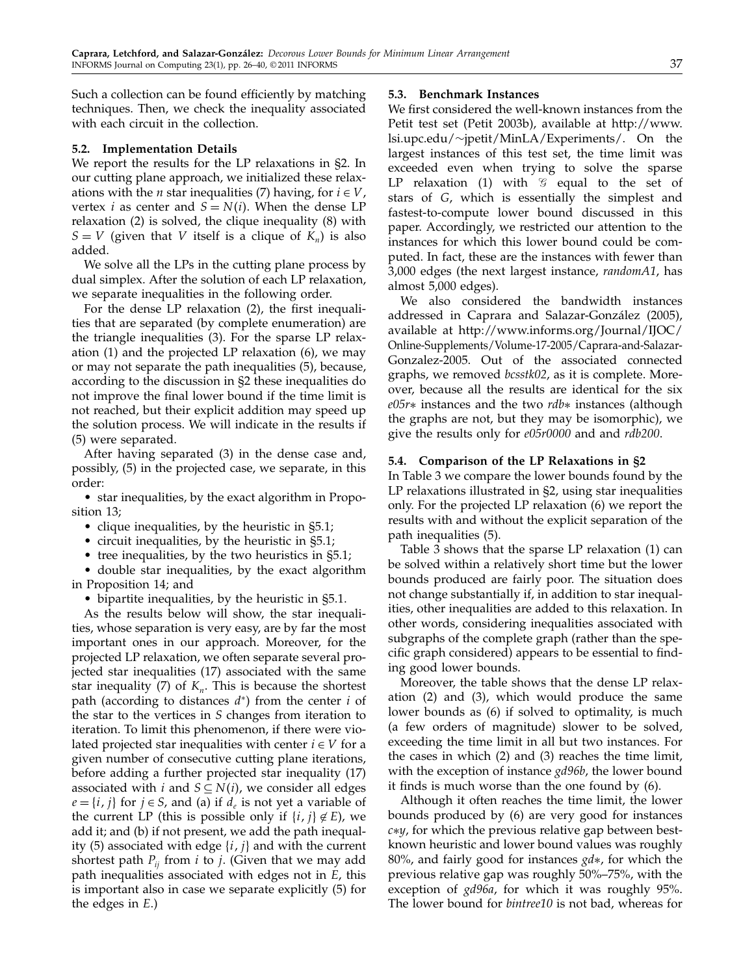Such a collection can be found efficiently by matching techniques. Then, we check the inequality associated with each circuit in the collection.

## 5.2. Implementation Details

We report the results for the LP relaxations in §2. In our cutting plane approach, we initialized these relaxations with the *n* star inequalities (7) having, for  $i \in V$ , vertex *i* as center and  $S = N(i)$ . When the dense LP relaxation (2) is solved, the clique inequality (8) with  $S = V$  (given that V itself is a clique of  $K_n$ ) is also added.

We solve all the LPs in the cutting plane process by dual simplex. After the solution of each LP relaxation, we separate inequalities in the following order.

For the dense LP relaxation (2), the first inequalities that are separated (by complete enumeration) are the triangle inequalities (3). For the sparse LP relaxation (1) and the projected LP relaxation (6), we may or may not separate the path inequalities (5), because, according to the discussion in §2 these inequalities do not improve the final lower bound if the time limit is not reached, but their explicit addition may speed up the solution process. We will indicate in the results if (5) were separated.

After having separated (3) in the dense case and, possibly, (5) in the projected case, we separate, in this order:

• star inequalities, by the exact algorithm in Proposition 13;

- clique inequalities, by the heuristic in §5.1;
- circuit inequalities, by the heuristic in §5.1;
- tree inequalities, by the two heuristics in §5.1;

• double star inequalities, by the exact algorithm in Proposition 14; and

• bipartite inequalities, by the heuristic in §5.1.

As the results below will show, the star inequalities, whose separation is very easy, are by far the most important ones in our approach. Moreover, for the projected LP relaxation, we often separate several projected star inequalities (17) associated with the same star inequality (7) of  $K_n$ . This is because the shortest path (according to distances  $d^*$ ) from the center i of the star to the vertices in S changes from iteration to iteration. To limit this phenomenon, if there were violated projected star inequalities with center  $i \in V$  for a given number of consecutive cutting plane iterations, before adding a further projected star inequality (17) associated with *i* and  $S \subseteq N(i)$ , we consider all edges  $e = \{i, j\}$  for  $j \in S$ , and (a) if  $d_e$  is not yet a variable of the current LP (this is possible only if  $\{i, j\} \notin E$ ), we add it; and (b) if not present, we add the path inequality (5) associated with edge  $\{i, j\}$  and with the current shortest path  $P_{ii}$  from *i* to *j*. (Given that we may add path inequalities associated with edges not in E, this is important also in case we separate explicitly (5) for the edges in E.)

#### 5.3. Benchmark Instances

We first considered the well-known instances from the Petit test set (Petit 2003b), available at http://www. lsi.upc.edu/∼jpetit/MinLA/Experiments/. On the largest instances of this test set, the time limit was exceeded even when trying to solve the sparse LP relaxation (1) with  $\mathcal G$  equal to the set of stars of G, which is essentially the simplest and fastest-to-compute lower bound discussed in this paper. Accordingly, we restricted our attention to the instances for which this lower bound could be computed. In fact, these are the instances with fewer than 3,000 edges (the next largest instance, randomA1, has almost 5,000 edges).

We also considered the bandwidth instances addressed in Caprara and Salazar-González (2005), available at http://www.informs.org/Journal/IJOC/ Online-Supplements/Volume-17-2005/Caprara-and-Salazar-Gonzalez-2005. Out of the associated connected graphs, we removed bcsstk02, as it is complete. Moreover, because all the results are identical for the six e05r∗ instances and the two rdb∗ instances (although the graphs are not, but they may be isomorphic), we give the results only for e05r0000 and and rdb200.

## 5.4. Comparison of the LP Relaxations in §2

In Table 3 we compare the lower bounds found by the LP relaxations illustrated in §2, using star inequalities only. For the projected LP relaxation (6) we report the results with and without the explicit separation of the path inequalities (5).

Table 3 shows that the sparse LP relaxation (1) can be solved within a relatively short time but the lower bounds produced are fairly poor. The situation does not change substantially if, in addition to star inequalities, other inequalities are added to this relaxation. In other words, considering inequalities associated with subgraphs of the complete graph (rather than the specific graph considered) appears to be essential to finding good lower bounds.

Moreover, the table shows that the dense LP relaxation (2) and (3), which would produce the same lower bounds as (6) if solved to optimality, is much (a few orders of magnitude) slower to be solved, exceeding the time limit in all but two instances. For the cases in which (2) and (3) reaches the time limit, with the exception of instance gd96b, the lower bound it finds is much worse than the one found by (6).

Although it often reaches the time limit, the lower bounds produced by (6) are very good for instances c∗y, for which the previous relative gap between bestknown heuristic and lower bound values was roughly 80%, and fairly good for instances gd∗, for which the previous relative gap was roughly 50%–75%, with the exception of gd96a, for which it was roughly 95%. The lower bound for bintree10 is not bad, whereas for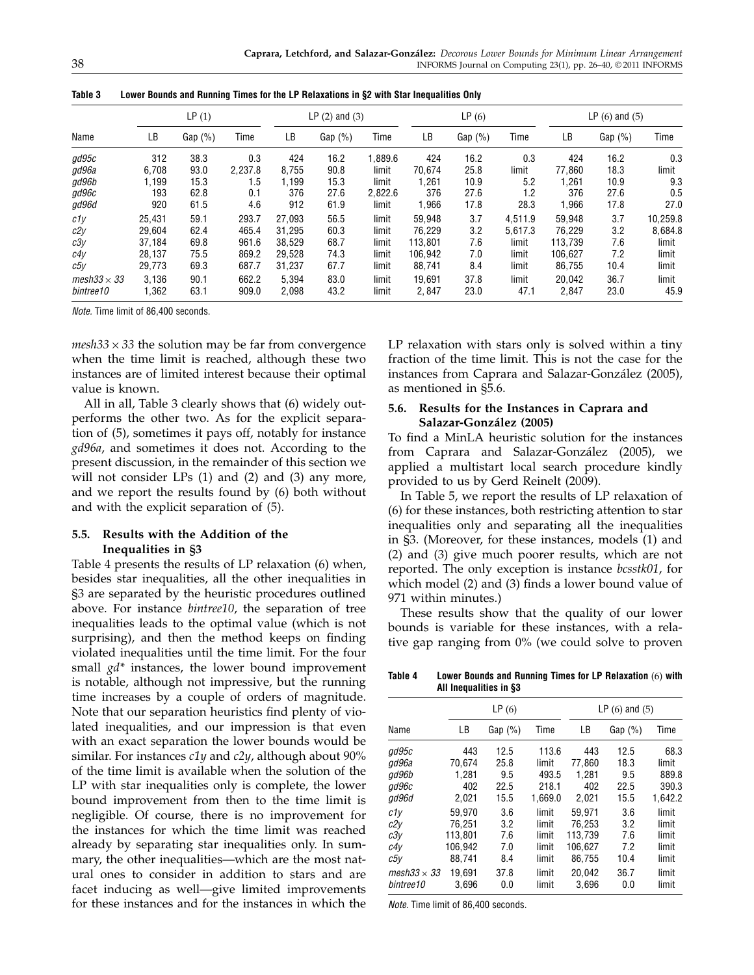|                     | LP(1)  |            |         | LP $(2)$ and $(3)$ |            |         | LP(6)   |            |         | $LP(6)$ and $(5)$ |            |          |
|---------------------|--------|------------|---------|--------------------|------------|---------|---------|------------|---------|-------------------|------------|----------|
| Name                | LВ     | Gap $(\%)$ | Time    | LВ                 | Gap $(\%)$ | Time    | LВ      | Gap $(\%)$ | Time    | LВ                | Gap $(\%)$ | Time     |
| gd95c               | 312    | 38.3       | 0.3     | 424                | 16.2       | .889.6  | 424     | 16.2       | 0.3     | 424               | 16.2       | 0.3      |
| gd96a               | 6.708  | 93.0       | 2,237.8 | 8,755              | 90.8       | limit   | 70.674  | 25.8       | limit   | 77.860            | 18.3       | limit    |
| gd96b               | 1,199  | 15.3       | 1.5     | 1,199              | 15.3       | limit   | 1,261   | 10.9       | 5.2     | 1,261             | 10.9       | 9.3      |
| gd96c               | 193    | 62.8       | 0.1     | 376                | 27.6       | 2.822.6 | 376     | 27.6       | 1.2     | 376               | 27.6       | 0.5      |
| gd96d               | 920    | 61.5       | 4.6     | 912                | 61.9       | limit   | 1,966   | 17.8       | 28.3    | 1,966             | 17.8       | 27.0     |
| c1y                 | 25,431 | 59.1       | 293.7   | 27,093             | 56.5       | limit   | 59,948  | 3.7        | 4.511.9 | 59,948            | 3.7        | 10,259.8 |
| c2y                 | 29.604 | 62.4       | 465.4   | 31.295             | 60.3       | limit   | 76.229  | 3.2        | 5.617.3 | 76.229            | 3.2        | 8.684.8  |
| c3y                 | 37.184 | 69.8       | 961.6   | 38.529             | 68.7       | limit   | 113.801 | 7.6        | limit   | 113.739           | 7.6        | limit    |
| c4v                 | 28.137 | 75.5       | 869.2   | 29.528             | 74.3       | limit   | 106.942 | 7.0        | limit   | 106.627           | 7.2        | limit    |
| c5y                 | 29,773 | 69.3       | 687.7   | 31,237             | 67.7       | limit   | 88,741  | 8.4        | limit   | 86,755            | 10.4       | limit    |
| mesh $33 \times 33$ | 3.136  | 90.1       | 662.2   | 5.394              | 83.0       | limit   | 19.691  | 37.8       | limit   | 20.042            | 36.7       | limit    |
| bintree10           | 1,362  | 63.1       | 909.0   | 2,098              | 43.2       | limit   | 2.847   | 23.0       | 47.1    | 2.847             | 23.0       | 45.9     |

Table 3 Lower Bounds and Running Times for the LP Relaxations in §2 with Star Inequalities Only

Note. Time limit of 86,400 seconds.

 $mesh33 \times 33$  the solution may be far from convergence when the time limit is reached, although these two instances are of limited interest because their optimal value is known.

All in all, Table 3 clearly shows that (6) widely outperforms the other two. As for the explicit separation of (5), sometimes it pays off, notably for instance gd96a, and sometimes it does not. According to the present discussion, in the remainder of this section we will not consider LPs (1) and (2) and (3) any more, and we report the results found by (6) both without and with the explicit separation of (5).

# 5.5. Results with the Addition of the Inequalities in §3

Table 4 presents the results of LP relaxation (6) when, besides star inequalities, all the other inequalities in §3 are separated by the heuristic procedures outlined above. For instance bintree10, the separation of tree inequalities leads to the optimal value (which is not surprising), and then the method keeps on finding violated inequalities until the time limit. For the four small  $gd^*$  instances, the lower bound improvement is notable, although not impressive, but the running time increases by a couple of orders of magnitude. Note that our separation heuristics find plenty of violated inequalities, and our impression is that even with an exact separation the lower bounds would be similar. For instances  $c1y$  and  $c2y$ , although about 90% of the time limit is available when the solution of the LP with star inequalities only is complete, the lower bound improvement from then to the time limit is negligible. Of course, there is no improvement for the instances for which the time limit was reached already by separating star inequalities only. In summary, the other inequalities—which are the most natural ones to consider in addition to stars and are facet inducing as well—give limited improvements for these instances and for the instances in which the

LP relaxation with stars only is solved within a tiny fraction of the time limit. This is not the case for the instances from Caprara and Salazar-González (2005), as mentioned in §5.6.

# 5.6. Results for the Instances in Caprara and Salazar-González (2005)

To find a MinLA heuristic solution for the instances from Caprara and Salazar-González (2005), we applied a multistart local search procedure kindly provided to us by Gerd Reinelt (2009).

In Table 5, we report the results of LP relaxation of (6) for these instances, both restricting attention to star inequalities only and separating all the inequalities in §3. (Moreover, for these instances, models (1) and (2) and (3) give much poorer results, which are not reported. The only exception is instance bcsstk01, for which model (2) and (3) finds a lower bound value of 971 within minutes.)

These results show that the quality of our lower bounds is variable for these instances, with a relative gap ranging from 0% (we could solve to proven

Table 4 Lower Bounds and Running Times for LP Relaxation (6) with All Inequalities in §3

|                    |         | LP(6)      |         | $LP(6)$ and $(5)$ |            |         |  |  |  |
|--------------------|---------|------------|---------|-------------------|------------|---------|--|--|--|
| Name               | LВ      | Gap $(\%)$ | Time    | LВ                | Gap $(\%)$ | Time    |  |  |  |
| ad95c              | 443     | 12.5       | 113.6   | 443               | 12.5       | 68.3    |  |  |  |
| ad96a              | 70.674  | 25.8       | limit   | 77.860            | 18.3       | limit   |  |  |  |
| qd96b              | 1.281   | 9.5        | 493.5   | 1.281             | 9.5        | 889.8   |  |  |  |
| ad96c              | 402     | 22.5       | 218.1   | 402               | 22.5       | 390.3   |  |  |  |
| qd96d              | 2,021   | 15.5       | 1,669.0 | 2.021             | 15.5       | 1,642.2 |  |  |  |
| c1y                | 59.970  | 3.6        | limit   | 59.971            | 3.6        | limit   |  |  |  |
| c2y                | 76.251  | 3.2        | limit   | 76.253            | 3.2        | limit   |  |  |  |
| c3v                | 113.801 | 7.6        | limit   | 113.739           | 7.6        | limit   |  |  |  |
| c4y                | 106.942 | 7.0        | limit   | 106.627           | 7.2        | limit   |  |  |  |
| c5y                | 88.741  | 8.4        | limit   | 86.755            | 10.4       | limit   |  |  |  |
| mesh33 $\times$ 33 | 19.691  | 37.8       | limit   | 20.042            | 36.7       | limit   |  |  |  |
| bintree10          | 3.696   | 0.0        | limit   | 3.696             | 0.0        | limit   |  |  |  |

Note. Time limit of 86,400 seconds.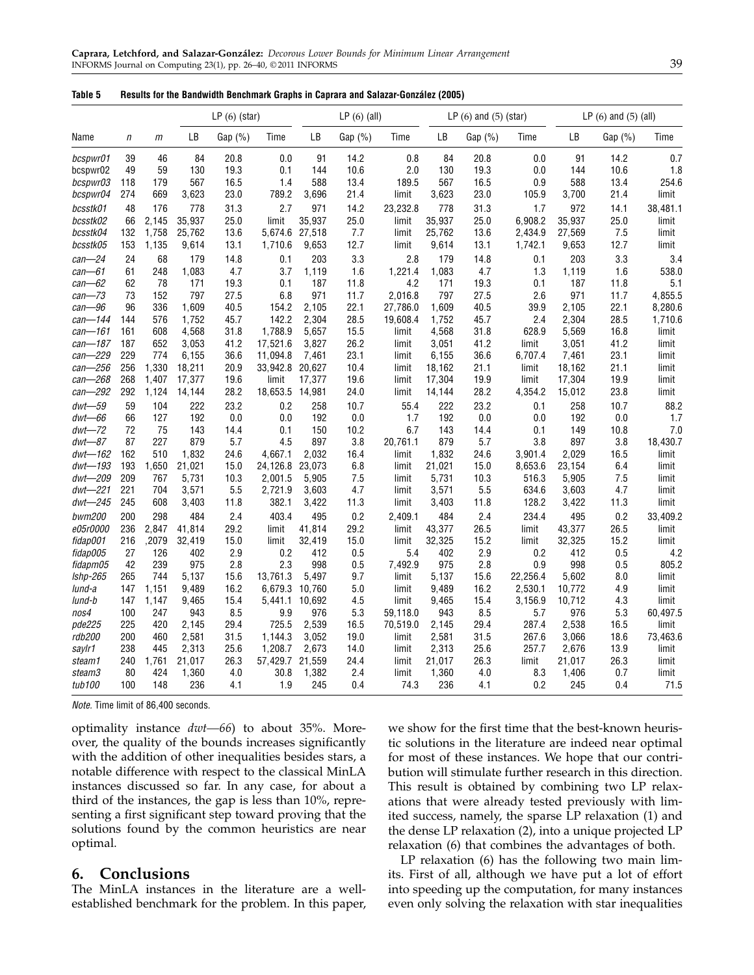## Table 5 Results for the Bandwidth Benchmark Graphs in Caprara and Salazar-González (2005)

|             |     |       |        | $LP(6)$ (star) |          |        | $LP(6)$ (all) |          |        | $LP(6)$ and $(5)$ (star) |          |        | LP $(6)$ and $(5)$ $(all)$ |          |  |
|-------------|-----|-------|--------|----------------|----------|--------|---------------|----------|--------|--------------------------|----------|--------|----------------------------|----------|--|
| Name        | n   | m     | LB     | Gap $(%)$      | Time     | LB     | Gap $(%)$     | Time     | LB     | Gap (%)                  | Time     | LB     | Gap (%)                    | Time     |  |
| bcspwr01    | 39  | 46    | 84     | 20.8           | 0.0      | 91     | 14.2          | 0.8      | 84     | 20.8                     | 0.0      | 91     | 14.2                       | 0.7      |  |
| bcspwr02    | 49  | 59    | 130    | 19.3           | 0.1      | 144    | 10.6          | 2.0      | 130    | 19.3                     | 0.0      | 144    | 10.6                       | 1.8      |  |
| bcspwr03    | 118 | 179   | 567    | 16.5           | 1.4      | 588    | 13.4          | 189.5    | 567    | 16.5                     | 0.9      | 588    | 13.4                       | 254.6    |  |
| bcspwr04    | 274 | 669   | 3,623  | 23.0           | 789.2    | 3,696  | 21.4          | limit    | 3,623  | 23.0                     | 105.9    | 3,700  | 21.4                       | limit    |  |
| bcsstk01    | 48  | 176   | 778    | 31.3           | 2.7      | 971    | 14.2          | 23,232.8 | 778    | 31.3                     | 1.7      | 972    | 14.1                       | 38,481.1 |  |
| bcsstk02    | 66  | 2.145 | 35,937 | 25.0           | limit    | 35,937 | 25.0          | limit    | 35,937 | 25.0                     | 6,908.2  | 35,937 | 25.0                       | limit    |  |
| bcsstk04    | 132 | 1,758 | 25,762 | 13.6           | 5,674.6  | 27,518 | 7.7           | limit    | 25,762 | 13.6                     | 2,434.9  | 27,569 | 7.5                        | limit    |  |
| bcsstk05    | 153 | 1,135 | 9,614  | 13.1           | 1,710.6  | 9,653  | 12.7          | limit    | 9,614  | 13.1                     | 1,742.1  | 9,653  | 12.7                       | limit    |  |
| $can - 24$  | 24  | 68    | 179    | 14.8           | 0.1      | 203    | 3.3           | 2.8      | 179    | 14.8                     | 0.1      | 203    | 3.3                        | 3.4      |  |
| $can - 61$  | 61  | 248   | 1,083  | 4.7            | 3.7      | 1,119  | 1.6           | 1,221.4  | 1,083  | 4.7                      | 1.3      | 1,119  | 1.6                        | 538.0    |  |
| $can -62$   | 62  | 78    | 171    | 19.3           | 0.1      | 187    | 11.8          | 4.2      | 171    | 19.3                     | 0.1      | 187    | 11.8                       | 5.1      |  |
| $can - 73$  | 73  | 152   | 797    | 27.5           | 6.8      | 971    | 11.7          | 2,016.8  | 797    | 27.5                     | 2.6      | 971    | 11.7                       | 4,855.5  |  |
| can-96      | 96  | 336   | 1,609  | 40.5           | 154.2    | 2,105  | 22.1          | 27,786.0 | 1,609  | 40.5                     | 39.9     | 2,105  | 22.1                       | 8,280.6  |  |
| can-144     | 144 | 576   | 1,752  | 45.7           | 142.2    | 2,304  | 28.5          | 19,608.4 | 1,752  | 45.7                     | 2.4      | 2,304  | 28.5                       | 1,710.6  |  |
| can-161     | 161 | 608   | 4,568  | 31.8           | 1,788.9  | 5,657  | 15.5          | limit    | 4,568  | 31.8                     | 628.9    | 5,569  | 16.8                       | limit    |  |
| can-187     | 187 | 652   | 3,053  | 41.2           | 17,521.6 | 3,827  | 26.2          | limit    | 3,051  | 41.2                     | limit    | 3,051  | 41.2                       | limit    |  |
| can-229     | 229 | 774   | 6,155  | 36.6           | 11,094.8 | 7,461  | 23.1          | limit    | 6,155  | 36.6                     | 6,707.4  | 7,461  | 23.1                       | limit    |  |
| can-256     | 256 | 1,330 | 18,211 | 20.9           | 33,942.8 | 20,627 | 10.4          | limit    | 18,162 | 21.1                     | limit    | 18,162 | 21.1                       | limit    |  |
| can-268     | 268 | 1,407 | 17,377 | 19.6           | limit    | 17,377 | 19.6          | limit    | 17,304 | 19.9                     | limit    | 17,304 | 19.9                       | limit    |  |
| can-292     | 292 | 1,124 | 14,144 | 28.2           | 18,653.5 | 14,981 | 24.0          | limit    | 14,144 | 28.2                     | 4,354.2  | 15,012 | 23.8                       | limit    |  |
| $dwt - 59$  | 59  | 104   | 222    | 23.2           | 0.2      | 258    | 10.7          | 55.4     | 222    | 23.2                     | 0.1      | 258    | 10.7                       | 88.2     |  |
| $dwt - 66$  | 66  | 127   | 192    | 0.0            | 0.0      | 192    | 0.0           | 1.7      | 192    | 0.0                      | 0.0      | 192    | 0.0                        | 1.7      |  |
| $dwt - 72$  | 72  | 75    | 143    | 14.4           | 0.1      | 150    | 10.2          | 6.7      | 143    | 14.4                     | 0.1      | 149    | 10.8                       | 7.0      |  |
| $dwt - 87$  | 87  | 227   | 879    | 5.7            | 4.5      | 897    | 3.8           | 20,761.1 | 879    | 5.7                      | 3.8      | 897    | 3.8                        | 18,430.7 |  |
| $dwt - 162$ | 162 | 510   | 1,832  | 24.6           | 4,667.1  | 2,032  | 16.4          | limit    | 1,832  | 24.6                     | 3,901.4  | 2,029  | 16.5                       | limit    |  |
| dwt-193     | 193 | 1,650 | 21,021 | 15.0           | 24,126.8 | 23,073 | 6.8           | limit    | 21,021 | 15.0                     | 8,653.6  | 23,154 | 6.4                        | limit    |  |
| dwt-209     | 209 | 767   | 5,731  | 10.3           | 2,001.5  | 5,905  | 7.5           | limit    | 5,731  | 10.3                     | 516.3    | 5,905  | 7.5                        | limit    |  |
| $dwt - 221$ | 221 | 704   | 3,571  | 5.5            | 2,721.9  | 3,603  | 4.7           | limit    | 3,571  | 5.5                      | 634.6    | 3,603  | 4.7                        | limit    |  |
| $dwt - 245$ | 245 | 608   | 3,403  | 11.8           | 382.1    | 3,422  | 11.3          | limit    | 3,403  | 11.8                     | 128.2    | 3,422  | 11.3                       | limit    |  |
| bwm200      | 200 | 298   | 484    | 2.4            | 403.4    | 495    | 0.2           | 2.409.1  | 484    | 2.4                      | 234.4    | 495    | 0.2                        | 33,409.2 |  |
| e05r0000    | 236 | 2,847 | 41,814 | 29.2           | limit    | 41,814 | 29.2          | limit    | 43,377 | 26.5                     | limit    | 43,377 | 26.5                       | limit    |  |
| fidap001    | 216 | ,2079 | 32,419 | 15.0           | limit    | 32,419 | 15.0          | limit    | 32,325 | 15.2                     | limit    | 32,325 | 15.2                       | limit    |  |
| fidap005    | 27  | 126   | 402    | 2.9            | 0.2      | 412    | 0.5           | 5.4      | 402    | 2.9                      | 0.2      | 412    | 0.5                        | 4.2      |  |
| fidapm05    | 42  | 239   | 975    | 2.8            | 2.3      | 998    | 0.5           | 7,492.9  | 975    | 2.8                      | 0.9      | 998    | 0.5                        | 805.2    |  |
| Ishp-265    | 265 | 744   | 5,137  | 15.6           | 13,761.3 | 5,497  | 9.7           | limit    | 5,137  | 15.6                     | 22,256.4 | 5,602  | 8.0                        | limit    |  |
| lund-a      | 147 | 1,151 | 9,489  | 16.2           | 6,679.3  | 10,760 | 5.0           | limit    | 9,489  | 16.2                     | 2,530.1  | 10,772 | 4.9                        | limit    |  |
| lund-b      | 147 | 1,147 | 9,465  | 15.4           | 5,441.1  | 10,692 | 4.5           | limit    | 9,465  | 15.4                     | 3,156.9  | 10,712 | 4.3                        | limit    |  |
| nos4        | 100 | 247   | 943    | 8.5            | 9.9      | 976    | 5.3           | 59,118.0 | 943    | 8.5                      | 5.7      | 976    | 5.3                        | 60,497.5 |  |
| pde225      | 225 | 420   | 2,145  | 29.4           | 725.5    | 2,539  | 16.5          | 70,519.0 | 2,145  | 29.4                     | 287.4    | 2,538  | 16.5                       | limit    |  |
| rdb200      | 200 | 460   | 2,581  | 31.5           | 1,144.3  | 3,052  | 19.0          | limit    | 2,581  | 31.5                     | 267.6    | 3,066  | 18.6                       | 73,463.6 |  |
| saylr1      | 238 | 445   | 2,313  | 25.6           | 1,208.7  | 2,673  | 14.0          | limit    | 2,313  | 25.6                     | 257.7    | 2,676  | 13.9                       | limit    |  |
| steam1      | 240 | 1,761 | 21,017 | 26.3           | 57,429.7 | 21,559 | 24.4          | limit    | 21,017 | 26.3                     | limit    | 21,017 | 26.3                       | limit    |  |
| steam3      | 80  | 424   | 1,360  | 4.0            | 30.8     | 1,382  | 2.4           | limit    | 1,360  | 4.0                      | 8.3      | 1,406  | 0.7                        | limit    |  |
| tub100      | 100 | 148   | 236    | 4.1            | 1.9      | 245    | 0.4           | 74.3     | 236    | 4.1                      | 0.2      | 245    | 0.4                        | 71.5     |  |

Note. Time limit of 86,400 seconds.

optimality instance  $dwt$ —66) to about 35%. Moreover, the quality of the bounds increases significantly with the addition of other inequalities besides stars, a notable difference with respect to the classical MinLA instances discussed so far. In any case, for about a third of the instances, the gap is less than 10%, representing a first significant step toward proving that the solutions found by the common heuristics are near optimal.

# 6. Conclusions

The MinLA instances in the literature are a wellestablished benchmark for the problem. In this paper, we show for the first time that the best-known heuristic solutions in the literature are indeed near optimal for most of these instances. We hope that our contribution will stimulate further research in this direction. This result is obtained by combining two LP relaxations that were already tested previously with limited success, namely, the sparse LP relaxation (1) and the dense LP relaxation (2), into a unique projected LP relaxation (6) that combines the advantages of both.

LP relaxation (6) has the following two main limits. First of all, although we have put a lot of effort into speeding up the computation, for many instances even only solving the relaxation with star inequalities